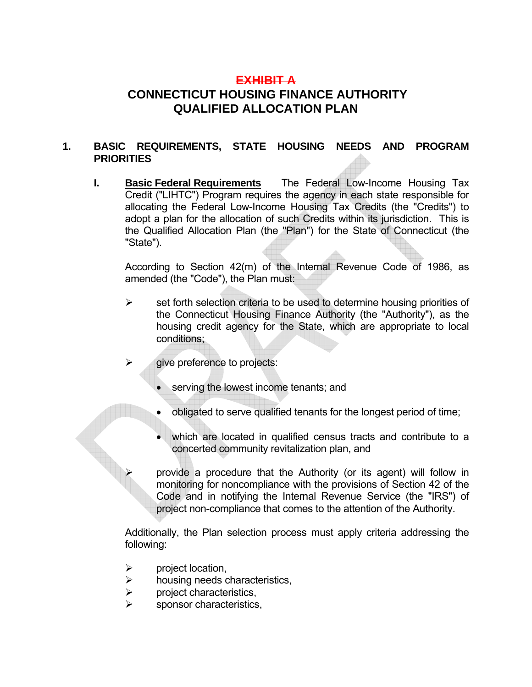# **EXHIBIT A CONNECTICUT HOUSING FINANCE AUTHORITY QUALIFIED ALLOCATION PLAN**

### **1. BASIC REQUIREMENTS, STATE HOUSING NEEDS AND PROGRAM PRIORITIES**

**I. Basic Federal Requirements** The Federal Low-Income Housing Tax Credit ("LIHTC") Program requires the agency in each state responsible for allocating the Federal Low-Income Housing Tax Credits (the "Credits") to adopt a plan for the allocation of such Credits within its jurisdiction. This is the Qualified Allocation Plan (the "Plan") for the State of Connecticut (the "State").

 According to Section 42(m) of the Internal Revenue Code of 1986, as amended (the "Code"), the Plan must:

- $\triangleright$  set forth selection criteria to be used to determine housing priorities of the Connecticut Housing Finance Authority (the "Authority"), as the housing credit agency for the State, which are appropriate to local conditions;
- $\triangleright$  give preference to projects:
	- serving the lowest income tenants; and
	- obligated to serve qualified tenants for the longest period of time;
	- which are located in qualified census tracts and contribute to a concerted community revitalization plan, and

¾ provide a procedure that the Authority (or its agent) will follow in monitoring for noncompliance with the provisions of Section 42 of the Code and in notifying the Internal Revenue Service (the "IRS") of project non-compliance that comes to the attention of the Authority.

 Additionally, the Plan selection process must apply criteria addressing the following:

- $\triangleright$  project location,
- $\triangleright$  housing needs characteristics,
- $\triangleright$  project characteristics.
- sponsor characteristics,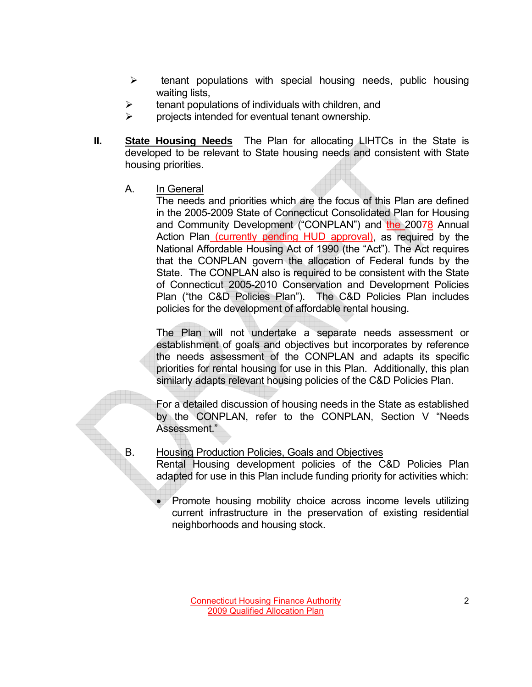- $\triangleright$  tenant populations with special housing needs, public housing waiting lists,
- tenant populations of individuals with children, and
- $\triangleright$  projects intended for eventual tenant ownership.
- **II.** State Housing Needs The Plan for allocating LIHTCs in the State is developed to be relevant to State housing needs and consistent with State housing priorities.
	- A. In General

 The needs and priorities which are the focus of this Plan are defined in the 2005-2009 State of Connecticut Consolidated Plan for Housing and Community Development ("CONPLAN") and the 20078 Annual Action Plan (currently pending HUD approval), as required by the National Affordable Housing Act of 1990 (the "Act"). The Act requires that the CONPLAN govern the allocation of Federal funds by the State. The CONPLAN also is required to be consistent with the State of Connecticut 2005-2010 Conservation and Development Policies Plan ("the C&D Policies Plan"). The C&D Policies Plan includes policies for the development of affordable rental housing.

 The Plan will not undertake a separate needs assessment or establishment of goals and objectives but incorporates by reference the needs assessment of the CONPLAN and adapts its specific priorities for rental housing for use in this Plan. Additionally, this plan similarly adapts relevant housing policies of the C&D Policies Plan.

 For a detailed discussion of housing needs in the State as established by the CONPLAN, refer to the CONPLAN, Section V "Needs Assessment."

## B. Housing Production Policies, Goals and Objectives

 Rental Housing development policies of the C&D Policies Plan adapted for use in this Plan include funding priority for activities which:

• Promote housing mobility choice across income levels utilizing current infrastructure in the preservation of existing residential neighborhoods and housing stock.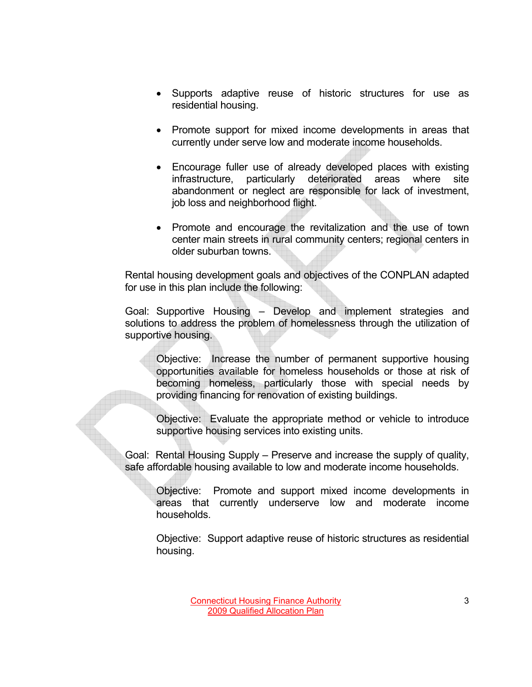- Supports adaptive reuse of historic structures for use as residential housing.
- Promote support for mixed income developments in areas that currently under serve low and moderate income households.
- Encourage fuller use of already developed places with existing infrastructure, particularly deteriorated areas where site abandonment or neglect are responsible for lack of investment, job loss and neighborhood flight.
- Promote and encourage the revitalization and the use of town center main streets in rural community centers; regional centers in older suburban towns.

Rental housing development goals and objectives of the CONPLAN adapted for use in this plan include the following:

Goal: Supportive Housing – Develop and implement strategies and solutions to address the problem of homelessness through the utilization of supportive housing.

Objective: Increase the number of permanent supportive housing opportunities available for homeless households or those at risk of becoming homeless, particularly those with special needs by providing financing for renovation of existing buildings.

Objective: Evaluate the appropriate method or vehicle to introduce supportive housing services into existing units.

Goal: Rental Housing Supply – Preserve and increase the supply of quality, safe affordable housing available to low and moderate income households.

Objective: Promote and support mixed income developments in areas that currently underserve low and moderate income households.

 Objective: Support adaptive reuse of historic structures as residential housing.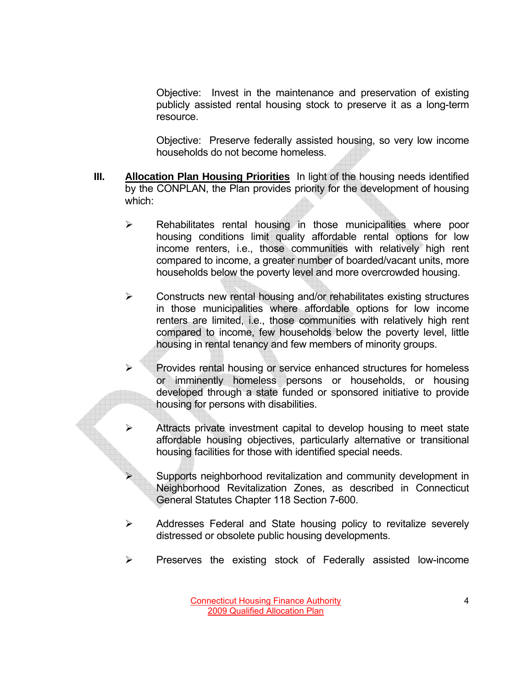Objective: Invest in the maintenance and preservation of existing publicly assisted rental housing stock to preserve it as a long-term resource.

 Objective: Preserve federally assisted housing, so very low income households do not become homeless.

- **III. Allocation Plan Housing Priorities** In light of the housing needs identified by the CONPLAN, the Plan provides priority for the development of housing which:
	- $\triangleright$  Rehabilitates rental housing in those municipalities where poor housing conditions limit quality affordable rental options for low income renters, i.e., those communities with relatively high rent compared to income, a greater number of boarded/vacant units, more households below the poverty level and more overcrowded housing.
	- $\triangleright$  Constructs new rental housing and/or rehabilitates existing structures in those municipalities where affordable options for low income renters are limited, i.e., those communities with relatively high rent compared to income, few households below the poverty level, little housing in rental tenancy and few members of minority groups.
	- Provides rental housing or service enhanced structures for homeless or imminently homeless persons or households, or housing developed through a state funded or sponsored initiative to provide housing for persons with disabilities.
		- Attracts private investment capital to develop housing to meet state affordable housing objectives, particularly alternative or transitional housing facilities for those with identified special needs.
			- Supports neighborhood revitalization and community development in Neighborhood Revitalization Zones, as described in Connecticut General Statutes Chapter 118 Section 7-600.
	- $\triangleright$  Addresses Federal and State housing policy to revitalize severely distressed or obsolete public housing developments.
	- $\triangleright$  Preserves the existing stock of Federally assisted low-income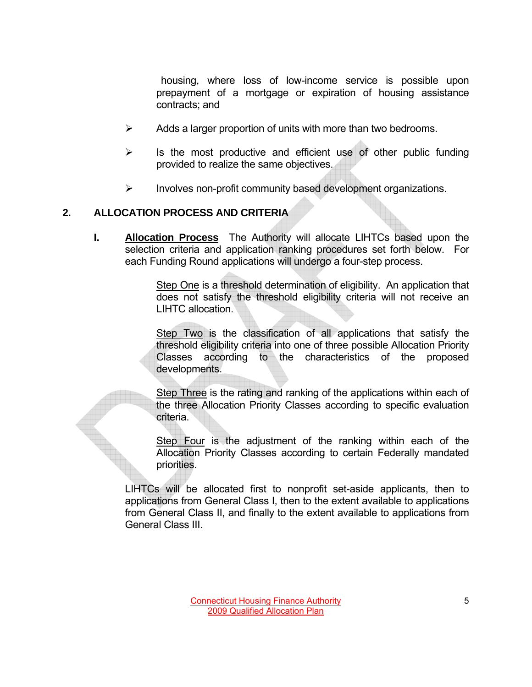housing, where loss of low-income service is possible upon prepayment of a mortgage or expiration of housing assistance contracts; and

- $\triangleright$  Adds a larger proportion of units with more than two bedrooms.
- $\triangleright$  Is the most productive and efficient use of other public funding provided to realize the same objectives.
- $\triangleright$  Involves non-profit community based development organizations.

### **2. ALLOCATION PROCESS AND CRITERIA**

**I. Allocation Process** The Authority will allocate LIHTCs based upon the selection criteria and application ranking procedures set forth below. For each Funding Round applications will undergo a four-step process.

> Step One is a threshold determination of eligibility. An application that does not satisfy the threshold eligibility criteria will not receive an LIHTC allocation.

> Step Two is the classification of all applications that satisfy the threshold eligibility criteria into one of three possible Allocation Priority Classes according to the characteristics of the proposed developments.

> Step Three is the rating and ranking of the applications within each of the three Allocation Priority Classes according to specific evaluation criteria.

> Step Four is the adjustment of the ranking within each of the Allocation Priority Classes according to certain Federally mandated priorities.

LIHTCs will be allocated first to nonprofit set-aside applicants, then to applications from General Class I, then to the extent available to applications from General Class II, and finally to the extent available to applications from General Class III.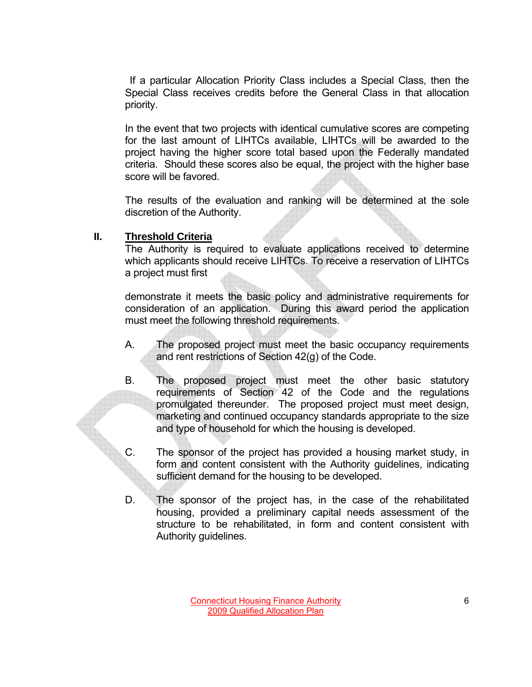If a particular Allocation Priority Class includes a Special Class, then the Special Class receives credits before the General Class in that allocation priority.

 In the event that two projects with identical cumulative scores are competing for the last amount of LIHTCs available, LIHTCs will be awarded to the project having the higher score total based upon the Federally mandated criteria. Should these scores also be equal, the project with the higher base score will be favored.

 The results of the evaluation and ranking will be determined at the sole discretion of the Authority.

#### **II. Threshold Criteria**

The Authority is required to evaluate applications received to determine which applicants should receive LIHTCs. To receive a reservation of LIHTCs a project must first

 demonstrate it meets the basic policy and administrative requirements for consideration of an application. During this award period the application must meet the following threshold requirements.

- A. The proposed project must meet the basic occupancy requirements and rent restrictions of Section 42(g) of the Code.
- B. The proposed project must meet the other basic statutory requirements of Section 42 of the Code and the regulations promulgated thereunder. The proposed project must meet design, marketing and continued occupancy standards appropriate to the size and type of household for which the housing is developed.
- C. The sponsor of the project has provided a housing market study, in form and content consistent with the Authority guidelines, indicating sufficient demand for the housing to be developed.
- D. The sponsor of the project has, in the case of the rehabilitated housing, provided a preliminary capital needs assessment of the structure to be rehabilitated, in form and content consistent with Authority guidelines.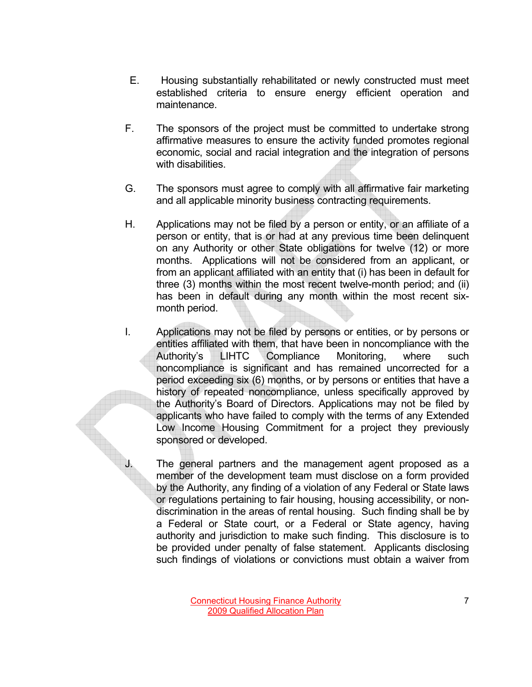- E. Housing substantially rehabilitated or newly constructed must meet established criteria to ensure energy efficient operation and maintenance.
- F. The sponsors of the project must be committed to undertake strong affirmative measures to ensure the activity funded promotes regional economic, social and racial integration and the integration of persons with disabilities.
- G. The sponsors must agree to comply with all affirmative fair marketing and all applicable minority business contracting requirements.
- H. Applications may not be filed by a person or entity, or an affiliate of a person or entity, that is or had at any previous time been delinquent on any Authority or other State obligations for twelve (12) or more months. Applications will not be considered from an applicant, or from an applicant affiliated with an entity that (i) has been in default for three (3) months within the most recent twelve-month period; and (ii) has been in default during any month within the most recent sixmonth period.
- I. Applications may not be filed by persons or entities, or by persons or entities affiliated with them, that have been in noncompliance with the Authority's LIHTC Compliance Monitoring, where such noncompliance is significant and has remained uncorrected for a period exceeding six (6) months, or by persons or entities that have a history of repeated noncompliance, unless specifically approved by the Authority's Board of Directors. Applications may not be filed by applicants who have failed to comply with the terms of any Extended Low Income Housing Commitment for a project they previously sponsored or developed.

The general partners and the management agent proposed as a member of the development team must disclose on a form provided by the Authority, any finding of a violation of any Federal or State laws or regulations pertaining to fair housing, housing accessibility, or nondiscrimination in the areas of rental housing. Such finding shall be by a Federal or State court, or a Federal or State agency, having authority and jurisdiction to make such finding. This disclosure is to be provided under penalty of false statement. Applicants disclosing such findings of violations or convictions must obtain a waiver from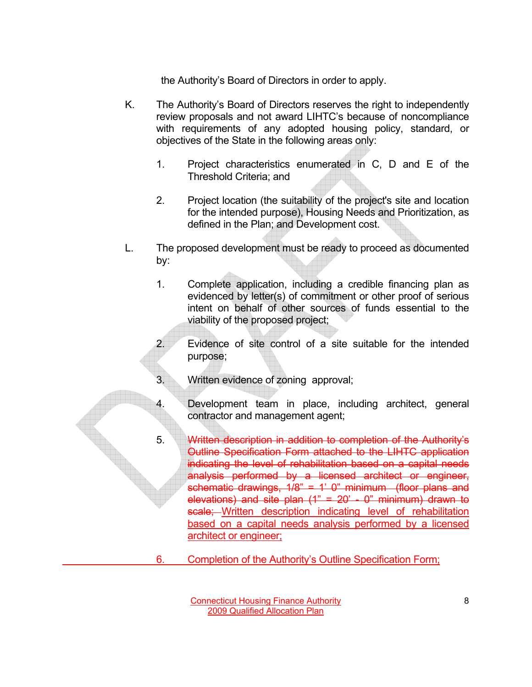the Authority's Board of Directors in order to apply.

- K. The Authority's Board of Directors reserves the right to independently review proposals and not award LIHTC's because of noncompliance with requirements of any adopted housing policy, standard, or objectives of the State in the following areas only:
	- 1. Project characteristics enumerated in C, D and E of the Threshold Criteria; and
	- 2. Project location (the suitability of the project's site and location for the intended purpose), Housing Needs and Prioritization, as defined in the Plan; and Development cost.
- L. The proposed development must be ready to proceed as documented by:
	- 1. Complete application, including a credible financing plan as evidenced by letter(s) of commitment or other proof of serious intent on behalf of other sources of funds essential to the viability of the proposed project;
	- 2. Evidence of site control of a site suitable for the intended purpose;
	- 3. Written evidence of zoning approval;
	- 4. Development team in place, including architect, general contractor and management agent;
	- 5. Written description in addition to completion of the Authority's Outline Specification Form attached to the LIHTC application indicating the level of rehabilitation based on a capital needs analysis performed by a licensed architect or engineer, schematic drawings,  $1/8$ " = 1' 0" minimum (floor plans and elevations) and site plan  $(1" = 20' - 0"$  minimum) drawn to scale: Written description indicating level of rehabilitation based on a capital needs analysis performed by a licensed architect or engineer;
	- 6. Completion of the Authority's Outline Specification Form;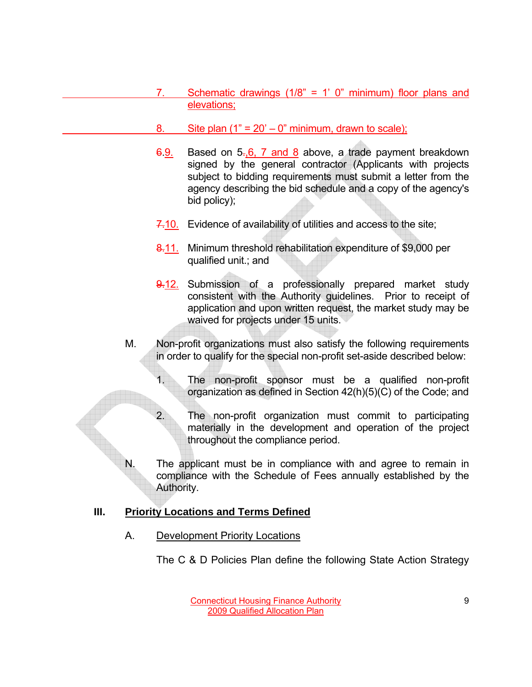- 7. Schematic drawings (1/8" = 1' 0" minimum) floor plans and elevations;
- 8. Site plan  $(1" = 20' 0"$  minimum, drawn to scale);
- 6.9. Based on 5.,6, 7 and 8 above, a trade payment breakdown signed by the general contractor (Applicants with projects subject to bidding requirements must submit a letter from the agency describing the bid schedule and a copy of the agency's bid policy);
- 7.10. Evidence of availability of utilities and access to the site;
- 8.11. Minimum threshold rehabilitation expenditure of \$9,000 per qualified unit.; and
- 9.12. Submission of a professionally prepared market study consistent with the Authority guidelines. Prior to receipt of application and upon written request, the market study may be waived for projects under 15 units.
- M. Non-profit organizations must also satisfy the following requirements in order to qualify for the special non-profit set-aside described below:
	- 1. The non-profit sponsor must be a qualified non-profit organization as defined in Section 42(h)(5)(C) of the Code; and
	- 2. The non-profit organization must commit to participating materially in the development and operation of the project throughout the compliance period.
- N. The applicant must be in compliance with and agree to remain in compliance with the Schedule of Fees annually established by the Authority.

# **III. Priority Locations and Terms Defined**

A. Development Priority Locations

The C & D Policies Plan define the following State Action Strategy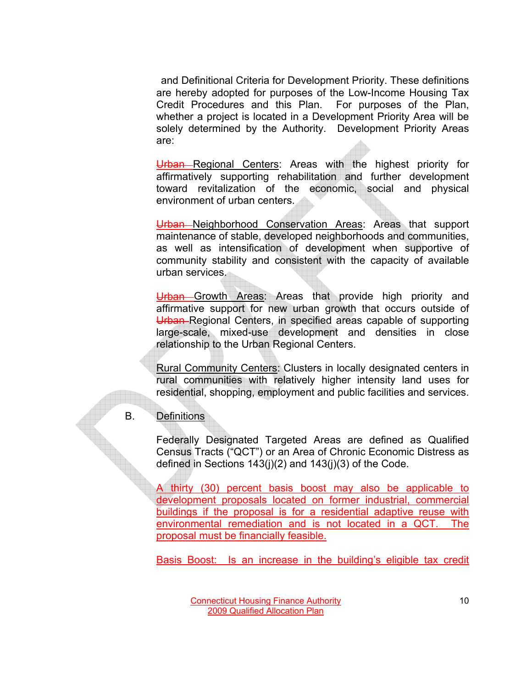and Definitional Criteria for Development Priority. These definitions are hereby adopted for purposes of the Low-Income Housing Tax Credit Procedures and this Plan. For purposes of the Plan, whether a project is located in a Development Priority Area will be solely determined by the Authority. Development Priority Areas are:

Urban Regional Centers: Areas with the highest priority for affirmatively supporting rehabilitation and further development toward revitalization of the economic, social and physical environment of urban centers.

Urban Neighborhood Conservation Areas: Areas that support maintenance of stable, developed neighborhoods and communities, as well as intensification of development when supportive of community stability and consistent with the capacity of available urban services.

Urban Growth Areas: Areas that provide high priority and affirmative support for new urban growth that occurs outside of Urban Regional Centers, in specified areas capable of supporting large-scale, mixed-use development and densities in close relationship to the Urban Regional Centers.

Rural Community Centers: Clusters in locally designated centers in rural communities with relatively higher intensity land uses for residential, shopping, employment and public facilities and services.

B. Definitions

Federally Designated Targeted Areas are defined as Qualified Census Tracts ("QCT") or an Area of Chronic Economic Distress as defined in Sections 143(j)(2) and 143(j)(3) of the Code.

A thirty (30) percent basis boost may also be applicable to development proposals located on former industrial, commercial buildings if the proposal is for a residential adaptive reuse with environmental remediation and is not located in a QCT. The proposal must be financially feasible.

Basis Boost: Is an increase in the building's eligible tax credit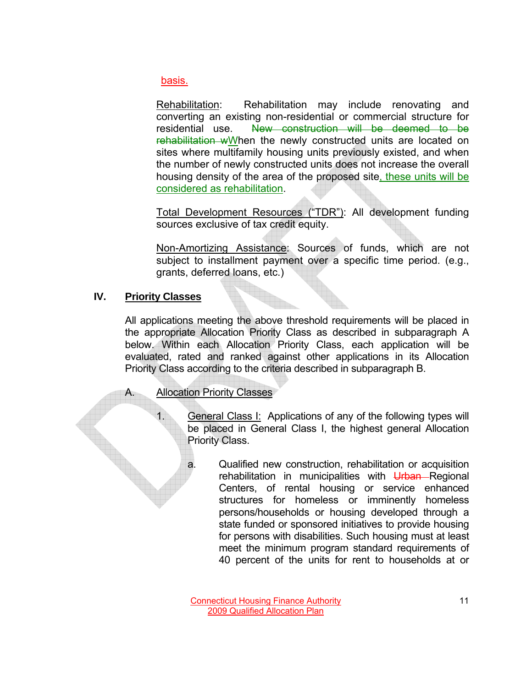basis.

Rehabilitation: Rehabilitation may include renovating and converting an existing non-residential or commercial structure for residential use. New construction will be deemed to be rehabilitation wWhen the newly constructed units are located on sites where multifamily housing units previously existed, and when the number of newly constructed units does not increase the overall housing density of the area of the proposed site, these units will be considered as rehabilitation.

Total Development Resources ("TDR"): All development funding sources exclusive of tax credit equity.

Non-Amortizing Assistance: Sources of funds, which are not subject to installment payment over a specific time period. (e.g., grants, deferred loans, etc.)

## **IV. Priority Classes**

All applications meeting the above threshold requirements will be placed in the appropriate Allocation Priority Class as described in subparagraph A below. Within each Allocation Priority Class, each application will be evaluated, rated and ranked against other applications in its Allocation Priority Class according to the criteria described in subparagraph B.

### A. Allocation Priority Classes

- 1. General Class I: Applications of any of the following types will be placed in General Class I, the highest general Allocation Priority Class.
	- a. Qualified new construction, rehabilitation or acquisition rehabilitation in municipalities with Urban Regional Centers, of rental housing or service enhanced structures for homeless or imminently homeless persons/households or housing developed through a state funded or sponsored initiatives to provide housing for persons with disabilities. Such housing must at least meet the minimum program standard requirements of 40 percent of the units for rent to households at or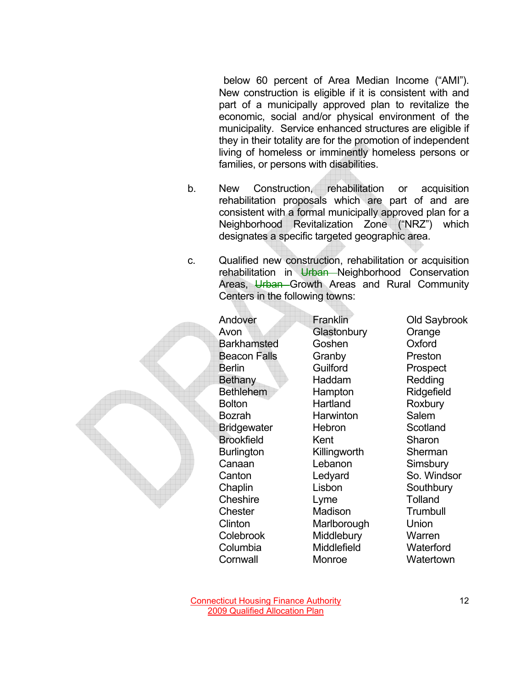below 60 percent of Area Median Income ("AMI"). New construction is eligible if it is consistent with and part of a municipally approved plan to revitalize the economic, social and/or physical environment of the municipality. Service enhanced structures are eligible if they in their totality are for the promotion of independent living of homeless or imminently homeless persons or families, or persons with disabilities.

- b. New Construction, rehabilitation or acquisition rehabilitation proposals which are part of and are consistent with a formal municipally approved plan for a Neighborhood Revitalization Zone ("NRZ") which designates a specific targeted geographic area.
- c. Qualified new construction, rehabilitation or acquisition rehabilitation in Urban Neighborhood Conservation Areas, Urban Growth Areas and Rural Community Centers in the following towns:

Andover Franklin Old Saybrook Avon Glastonbury Orange Barkhamsted Goshen Oxford Beacon Falls Granby Preston **Berlin** Guilford Prospect Bethany Haddam Redding Bethlehem Hampton Ridgefield **Bolton** Hartland Roxbury Bozrah **Harwinton** Salem Bridgewater Hebron Scotland **Brookfield Kent** Sharon Burlington Killingworth Sherman **Canaan** Lebanon Simsbury Chaplin Lisbon Southbury **Cheshire** Lyme Tolland **Chester Madison Trumbull**  Clinton Marlborough Union Colebrook Middlebury Warren Columbia Middlefield Waterford **Cornwall** Monroe Monton Matertown

Canton Ledyard So. Windsor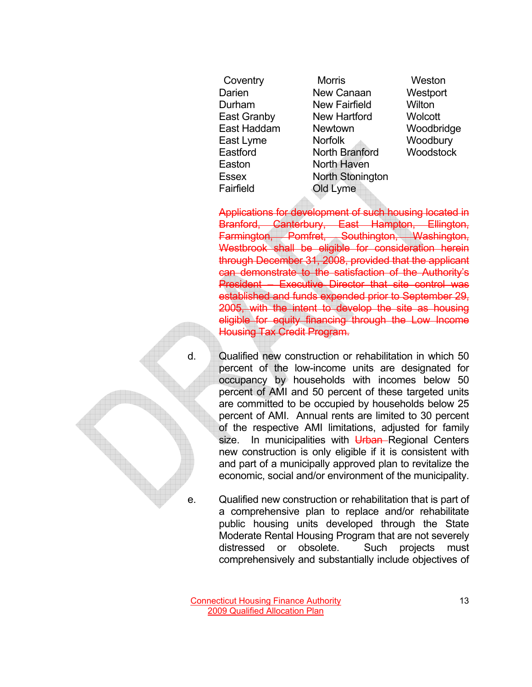Easton North Haven Fairfield Old Lyme

 Coventry Morris Weston Darien New Canaan Westport Durham New Fairfield Wilton East Granby New Hartford Wolcott East Haddam Newtown Woodbridge East Lyme Norfolk Woodbury Eastford North Branford Woodstock Essex North Stonington

Applications for development of such housing located in Branford, Canterbury, East Hampton, Ellington, Farmington, Pomfret, Southington, Washington, Westbrook shall be eligible for consideration herein through December 31, 2008, provided that the applicant can demonstrate to the satisfaction of the Authority's President – Executive Director that site control was established and funds expended prior to September 29, 2005, with the intent to develop the site as housing eligible for equity financing through the Low Income Housing Tax Credit Program.

d. Qualified new construction or rehabilitation in which 50 percent of the low-income units are designated for occupancy by households with incomes below 50 percent of AMI and 50 percent of these targeted units are committed to be occupied by households below 25 percent of AMI. Annual rents are limited to 30 percent of the respective AMI limitations, adjusted for family size. In municipalities with Urban-Regional Centers new construction is only eligible if it is consistent with and part of a municipally approved plan to revitalize the economic, social and/or environment of the municipality.

e. Qualified new construction or rehabilitation that is part of a comprehensive plan to replace and/or rehabilitate public housing units developed through the State Moderate Rental Housing Program that are not severely distressed or obsolete. Such projects must comprehensively and substantially include objectives of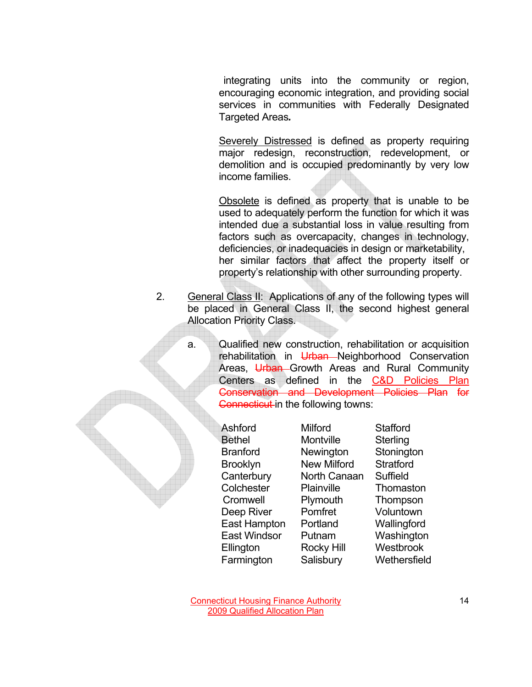integrating units into the community or region, encouraging economic integration, and providing social services in communities with Federally Designated Targeted Areas*.*

 Severely Distressed is defined as property requiring major redesign, reconstruction, redevelopment, or demolition and is occupied predominantly by very low income families.

 Obsolete is defined as property that is unable to be used to adequately perform the function for which it was intended due a substantial loss in value resulting from factors such as overcapacity, changes in technology, deficiencies, or inadequacies in design or marketability, her similar factors that affect the property itself or property's relationship with other surrounding property.

- 2. General Class II: Applications of any of the following types will be placed in General Class II, the second highest general Allocation Priority Class.
	- a. Qualified new construction, rehabilitation or acquisition rehabilitation in Urban-Neighborhood Conservation Areas, Urban Growth Areas and Rural Community Centers as defined in the C&D Policies Plan Conservation and Development Policies Plan for **Connecticut** in the following towns:

| Ashford             | <b>Milford</b>     | <b>Stafford</b>  |
|---------------------|--------------------|------------------|
| <b>Bethel</b>       | <b>Montville</b>   | Sterling         |
| <b>Branford</b>     | Newington          | Stonington       |
| <b>Brooklyn</b>     | <b>New Milford</b> | <b>Stratford</b> |
| Canterbury          | North Canaan       | Suffield         |
| Colchester          | Plainville         | Thomaston        |
| Cromwell            | Plymouth           | Thompson         |
| Deep River          | Pomfret            | Voluntown        |
| East Hampton        | Portland           | Wallingford      |
| <b>East Windsor</b> | Putnam             | Washington       |
| Ellington           | <b>Rocky Hill</b>  | <b>Westbrook</b> |
| Farmington          | Salisbury          |                  |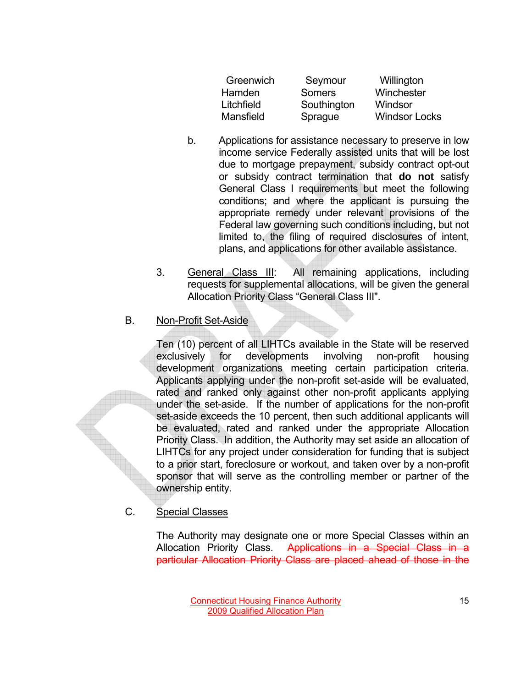| Greenwich     | Seymour     | Willington           |
|---------------|-------------|----------------------|
| <b>Hamden</b> | Somers      | Winchester           |
| Litchfield    | Southington | Windsor              |
| Mansfield     | Sprague     | <b>Windsor Locks</b> |

- b. Applications for assistance necessary to preserve in low income service Federally assisted units that will be lost due to mortgage prepayment, subsidy contract opt-out or subsidy contract termination that **do not** satisfy General Class I requirements but meet the following conditions; and where the applicant is pursuing the appropriate remedy under relevant provisions of the Federal law governing such conditions including, but not limited to, the filing of required disclosures of intent, plans, and applications for other available assistance.
- 3. General Class III: All remaining applications, including requests for supplemental allocations, will be given the general Allocation Priority Class "General Class III".

## B. Non-Profit Set-Aside

Ten (10) percent of all LIHTCs available in the State will be reserved exclusively for developments involving non-profit housing development organizations meeting certain participation criteria. Applicants applying under the non-profit set-aside will be evaluated, rated and ranked only against other non-profit applicants applying under the set-aside. If the number of applications for the non-profit set-aside exceeds the 10 percent, then such additional applicants will be evaluated, rated and ranked under the appropriate Allocation Priority Class. In addition, the Authority may set aside an allocation of LIHTCs for any project under consideration for funding that is subject to a prior start, foreclosure or workout, and taken over by a non-profit sponsor that will serve as the controlling member or partner of the ownership entity.

## C. Special Classes

The Authority may designate one or more Special Classes within an Allocation Priority Class. Applications in a Special Class in a particular Allocation Priority Class are placed ahead of those in the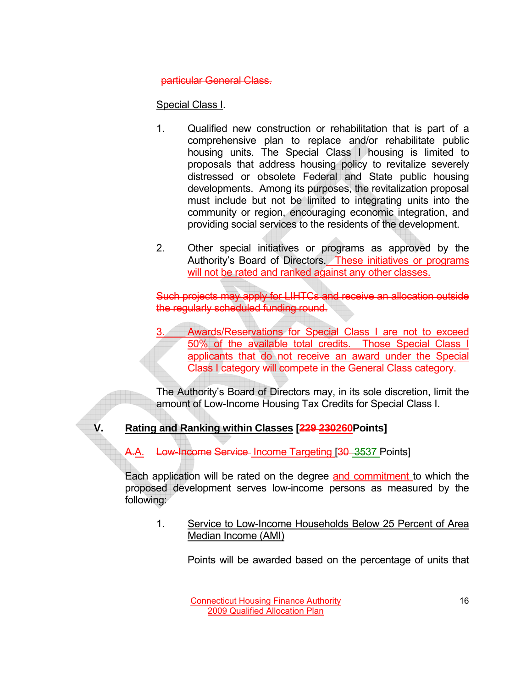### particular General Class.

# Special Class I.

- 1. Qualified new construction or rehabilitation that is part of a comprehensive plan to replace and/or rehabilitate public housing units. The Special Class I housing is limited to proposals that address housing policy to revitalize severely distressed or obsolete Federal and State public housing developments. Among its purposes, the revitalization proposal must include but not be limited to integrating units into the community or region, encouraging economic integration, and providing social services to the residents of the development.
- 2. Other special initiatives or programs as approved by the Authority's Board of Directors. These initiatives or programs will not be rated and ranked against any other classes.

Such projects may apply for LIHTCs and receive an allocation outside the regularly scheduled funding round.

Awards/Reservations for Special Class I are not to exceed 50% of the available total credits. Those Special Class I applicants that do not receive an award under the Special Class I category will compete in the General Class category.

The Authority's Board of Directors may, in its sole discretion, limit the amount of Low-Income Housing Tax Credits for Special Class I.

# **V. Rating and Ranking within Classes [229 230260Points]**

A.A. Low-Income Service Income Targeting [30 3537 Points]

Each application will be rated on the degree and commitment to which the proposed development serves low-income persons as measured by the following:

1. Service to Low-Income Households Below 25 Percent of Area Median Income (AMI)

Points will be awarded based on the percentage of units that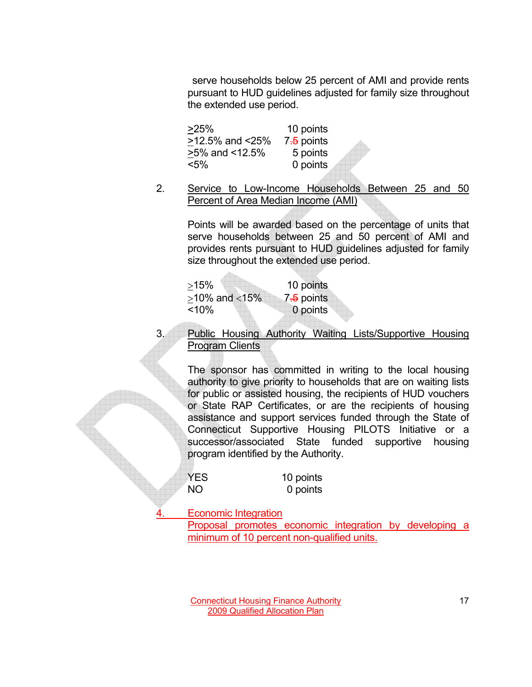serve households below 25 percent of AMI and provide rents pursuant to HUD guidelines adjusted for family size throughout the extended use period.

>25% 10 points  $>12.5\%$  and  $<25\%$  7.5 points >5% and <12.5% 5 points <5% 0 points

2. Service to Low-Income Households Between 25 and 50 Percent of Area Median Income (AMI)

> Points will be awarded based on the percentage of units that serve households between 25 and 50 percent of AMI and provides rents pursuant to HUD guidelines adjusted for family size throughout the extended use period.

| $>15\%$             | 10 points  |
|---------------------|------------|
| $>10\%$ and $<15\%$ | 7.5 points |
| $< 10\%$            | 0 points   |

 $\Delta \sim 1$ 

3. Public Housing Authority Waiting Lists/Supportive Housing Program Clients

The sponsor has committed in writing to the local housing authority to give priority to households that are on waiting lists for public or assisted housing, the recipients of HUD vouchers or State RAP Certificates, or are the recipients of housing assistance and support services funded through the State of Connecticut Supportive Housing PILOTS Initiative or a successor/associated State funded supportive housing program identified by the Authority.

| <b>YES</b> | 10 points |
|------------|-----------|
| NO.        | 0 points  |

Economic Integration

Proposal promotes economic integration by developing a minimum of 10 percent non-qualified units.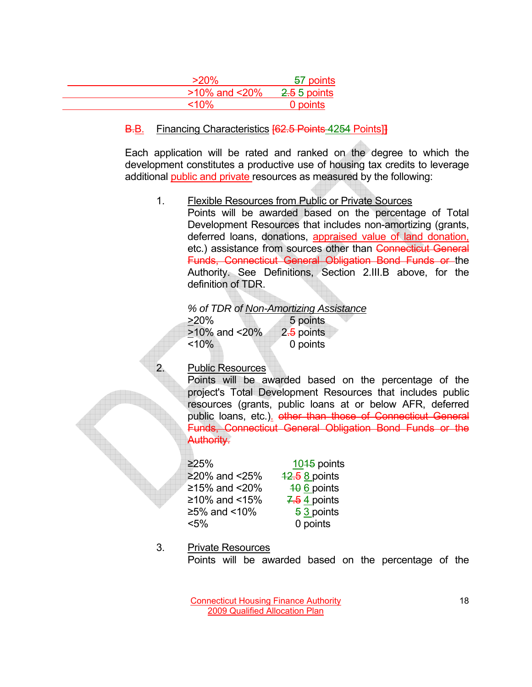| $>20\%$ | 57 points                           |
|---------|-------------------------------------|
|         | $>10\%$ and $<20\%$<br>2.5 5 points |
| $<$ 10% | 0 points                            |

### B.B. Financing Characteristics [62.5 Points 4254 Points]**]**

Each application will be rated and ranked on the degree to which the development constitutes a productive use of housing tax credits to leverage additional public and private resources as measured by the following:

1. Flexible Resources from Public or Private Sources

 Points will be awarded based on the percentage of Total Development Resources that includes non-amortizing (grants, deferred loans, donations, appraised value of land donation, etc.) assistance from sources other than Connecticut General Funds, Connecticut General Obligation Bond Funds or the Authority. See Definitions, Section 2.III.B above, for the definition of TDR.

|                     | % of TDR of Non-Amortizing Assistance |
|---------------------|---------------------------------------|
| $>20\%$             | 5 points                              |
| $>10\%$ and $<20\%$ | 2.5 points                            |
| $< 10\%$            | 0 points                              |
|                     |                                       |

## 2. Public Resources

Points will be awarded based on the percentage of the project's Total Development Resources that includes public resources (grants, public loans at or below AFR, deferred public loans, etc.). other than those of Connecticut General Funds, Connecticut General Obligation Bond Funds or the Authority.

 $\geq$ 25% 1045 points  $≥20\%$  and  $≤25\%$   $12.5$  8 points  $≥15%$  and <20%  $\frac{10}{10}$  6 points  $≥10\%$  and <15% 7.54 points  $≥5%$  and <10%  $\frac{53}{3}$  points <5% 0 points

### 3. Private Resources

Points will be awarded based on the percentage of the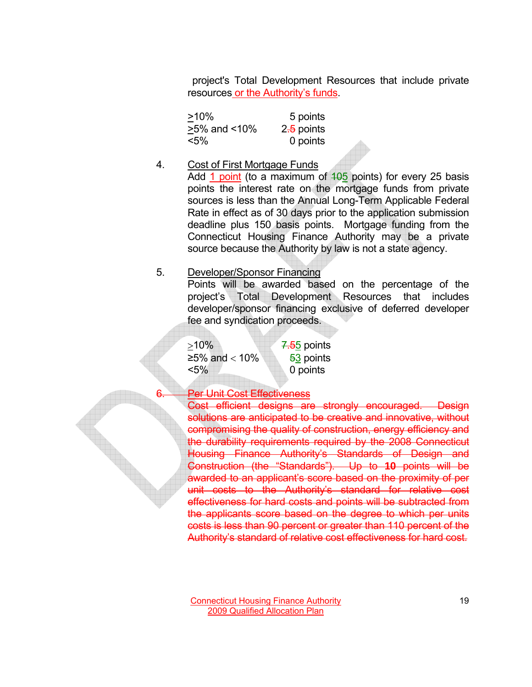project's Total Development Resources that include private resources or the Authority's funds.

| $>10\%$            | 5 points               |
|--------------------|------------------------|
| $>5\%$ and $<10\%$ | 2 <del>.5</del> points |
| $< 5\%$            | 0 points               |

#### 4. Cost of First Mortgage Funds

Add 1 point (to a maximum of  $105$  points) for every 25 basis points the interest rate on the mortgage funds from private sources is less than the Annual Long-Term Applicable Federal Rate in effect as of 30 days prior to the application submission deadline plus 150 basis points. Mortgage funding from the Connecticut Housing Finance Authority may be a private source because the Authority by law is not a state agency.

#### 5. Developer/Sponsor Financing

Points will be awarded based on the percentage of the project's Total Development Resources that includes developer/sponsor financing exclusive of deferred developer fee and syndication proceeds.

 $>10\%$   $\frac{7.55}{ }$  points  $≥5\%$  and < 10%  $\frac{53}{ }$  points <5% 0 points

#### Per Unit Cost Effectiveness

Cost efficient designs are strongly encouraged. Design solutions are anticipated to be creative and innovative, without compromising the quality of construction, energy efficiency and the durability requirements required by the 2008 Connecticut Housing Finance Authority's Standards of Design and Construction (the "Standards"). Up to **10** points will be awarded to an applicant's score based on the proximity of per unit costs to the Authority's standard for relative cost effectiveness for hard costs and points will be subtracted from the applicants score based on the degree to which per units costs is less than 90 percent or greater than 110 percent of the Authority's standard of relative cost effectiveness for hard cost.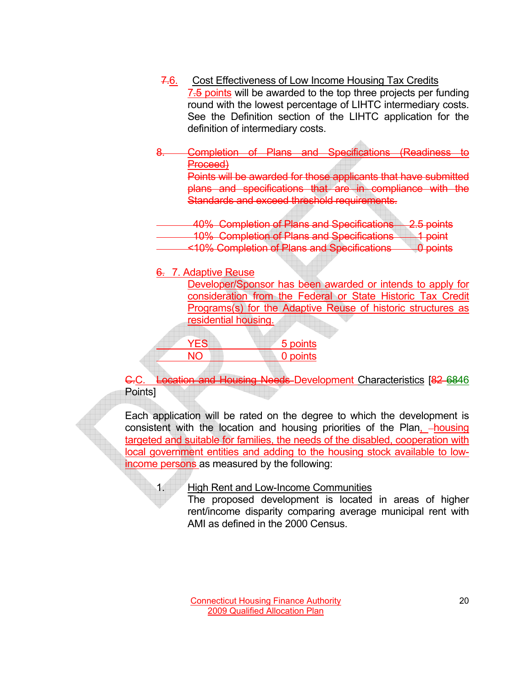- 7.6. Cost Effectiveness of Low Income Housing Tax Credits 7.5 points will be awarded to the top three projects per funding round with the lowest percentage of LIHTC intermediary costs. See the Definition section of the LIHTC application for the definition of intermediary costs.
- 8. Completion of Plans and Specifications (Readiness to Proceed)

Points will be awarded for those applicants that have submitted plans and specifications that are in compliance with the Standards and exceed threshold requirements.

 40% Completion of Plans and Specifications 2.5 points 10% Completion of Plans and Specifications 1 point

- <10% Completion of Plans and Specifications 0 points
- 6. 7. Adaptive Reuse

Developer/Sponsor has been awarded or intends to apply for consideration from the Federal or State Historic Tax Credit Programs(s) for the Adaptive Reuse of historic structures as residential housing.

| YES. | 5 points |
|------|----------|
| NIC  | 0 points |
|      |          |

C.C. Location and Housing Needs Development Characteristics [82 6846 Points]

Each application will be rated on the degree to which the development is consistent with the location and housing priorities of the Plan, -housing targeted and suitable for families, the needs of the disabled, cooperation with local government entities and adding to the housing stock available to lowincome persons as measured by the following:

1. High Rent and Low-Income Communities

The proposed development is located in areas of higher rent/income disparity comparing average municipal rent with AMI as defined in the 2000 Census.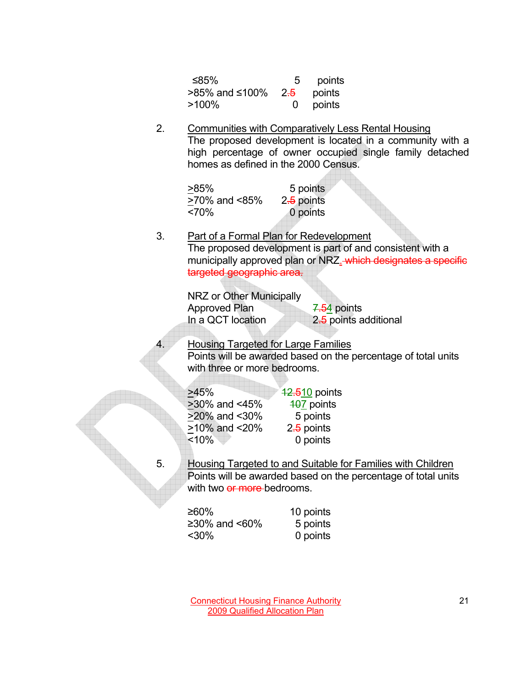| ≤85%                                  | 5 | points   |
|---------------------------------------|---|----------|
| >85% and ≤100% 2 <del>.5</del> points |   |          |
| $>100\%$                              |   | 0 points |

### 2. Communities with Comparatively Less Rental Housing The proposed development is located in a community with a high percentage of owner occupied single family detached homes as defined in the 2000 Census.



#### 3. Part of a Formal Plan for Redevelopment The proposed development is part of and consistent with a municipally approved plan or NRZ. which designates a specific targeted geographic area.

NRZ or Other Municipally Approved Plan 7.54 points In a QCT location 2.5 points additional

**Housing Targeted for Large Families** Points will be awarded based on the percentage of total units with three or more bedrooms.

| >45%                | 42.510 points |
|---------------------|---------------|
| >30% and <45%       | 407 points    |
| >20% and <30%       | 5 points      |
| $>10\%$ and $<20\%$ | 2.5 points    |
| < 10%               | 0 points      |

5. Housing Targeted to and Suitable for Families with Children Points will be awarded based on the percentage of total units with two or more bedrooms.

| ≥60%             | 10 points |
|------------------|-----------|
| ≥30% and $<60\%$ | 5 points  |
| $30%$            | 0 points  |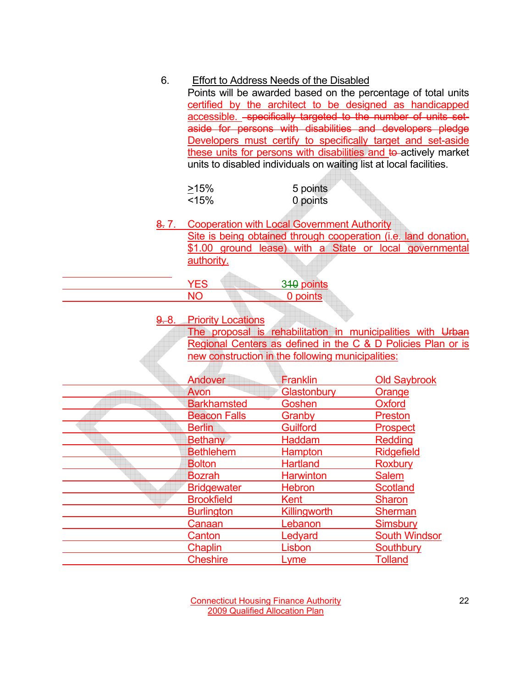| 6.               | Effort to Address Needs of the Disabled<br>Points will be awarded based on the percentage of total units<br>certified by the architect to be designed as handicapped<br>accessible. - specifically targeted to the number of units set-<br>aside for persons with disabilities and developers pledge<br>Developers must certify to specifically target and set-aside<br>these units for persons with disabilities and to actively market<br>units to disabled individuals on waiting list at local facilities. |                                                    |                                                                                                                            |
|------------------|----------------------------------------------------------------------------------------------------------------------------------------------------------------------------------------------------------------------------------------------------------------------------------------------------------------------------------------------------------------------------------------------------------------------------------------------------------------------------------------------------------------|----------------------------------------------------|----------------------------------------------------------------------------------------------------------------------------|
|                  | >15%                                                                                                                                                                                                                                                                                                                                                                                                                                                                                                           | 5 points                                           |                                                                                                                            |
|                  | < 15%                                                                                                                                                                                                                                                                                                                                                                                                                                                                                                          | 0 points                                           |                                                                                                                            |
|                  |                                                                                                                                                                                                                                                                                                                                                                                                                                                                                                                |                                                    |                                                                                                                            |
| <del>8.</del> 7. | authority.                                                                                                                                                                                                                                                                                                                                                                                                                                                                                                     | <b>Cooperation with Local Government Authority</b> | Site is being obtained through cooperation (i.e. land donation,<br>\$1.00 ground lease) with a State or local governmental |
|                  | <b>YES</b>                                                                                                                                                                                                                                                                                                                                                                                                                                                                                                     | 340 points                                         |                                                                                                                            |
|                  | <b>NO</b>                                                                                                                                                                                                                                                                                                                                                                                                                                                                                                      | 0 points                                           |                                                                                                                            |
| <del>9.</del> 8. | <b>Priority Locations</b>                                                                                                                                                                                                                                                                                                                                                                                                                                                                                      |                                                    | The proposal is rehabilitation in municipalities with Urban                                                                |
|                  |                                                                                                                                                                                                                                                                                                                                                                                                                                                                                                                |                                                    | Regional Centers as defined in the C & D Policies Plan or is                                                               |
|                  | new construction in the following municipalities:                                                                                                                                                                                                                                                                                                                                                                                                                                                              |                                                    |                                                                                                                            |
|                  |                                                                                                                                                                                                                                                                                                                                                                                                                                                                                                                |                                                    |                                                                                                                            |
|                  | <b>Andover</b>                                                                                                                                                                                                                                                                                                                                                                                                                                                                                                 | <b>Franklin</b>                                    | <b>Old Saybrook</b>                                                                                                        |
|                  | Avon                                                                                                                                                                                                                                                                                                                                                                                                                                                                                                           | <b>Glastonbury</b>                                 | <b>Orange</b>                                                                                                              |
|                  | <b>Barkhamsted</b>                                                                                                                                                                                                                                                                                                                                                                                                                                                                                             | Goshen                                             | <b>Oxford</b>                                                                                                              |
|                  | <b>Beacon Falls</b>                                                                                                                                                                                                                                                                                                                                                                                                                                                                                            | Granby                                             | <b>Preston</b>                                                                                                             |
|                  | <b>Berlin</b>                                                                                                                                                                                                                                                                                                                                                                                                                                                                                                  | <b>Guilford</b>                                    | <b>Prospect</b>                                                                                                            |
|                  | <b>Bethany</b>                                                                                                                                                                                                                                                                                                                                                                                                                                                                                                 | Haddam                                             | <b>Redding</b>                                                                                                             |
|                  | <b>Bethlehem</b>                                                                                                                                                                                                                                                                                                                                                                                                                                                                                               | Hampton                                            | <b>Ridgefield</b>                                                                                                          |
|                  | <b>Bolton</b>                                                                                                                                                                                                                                                                                                                                                                                                                                                                                                  | <b>Hartland</b>                                    | <b>Roxbury</b>                                                                                                             |
|                  | <b>Bozrah</b>                                                                                                                                                                                                                                                                                                                                                                                                                                                                                                  | <b>Harwinton</b>                                   | <b>Salem</b>                                                                                                               |
|                  | <b>Bridgewater</b>                                                                                                                                                                                                                                                                                                                                                                                                                                                                                             | <b>Hebron</b>                                      | <b>Scotland</b>                                                                                                            |
|                  | <b>Brookfield</b>                                                                                                                                                                                                                                                                                                                                                                                                                                                                                              | Kent                                               | <b>Sharon</b>                                                                                                              |
|                  | <b>Burlington</b>                                                                                                                                                                                                                                                                                                                                                                                                                                                                                              | Killingworth                                       | Sherman                                                                                                                    |
|                  | Canaan                                                                                                                                                                                                                                                                                                                                                                                                                                                                                                         | Lebanon                                            | Simsbury                                                                                                                   |
|                  | Canton                                                                                                                                                                                                                                                                                                                                                                                                                                                                                                         | Ledyard                                            | <b>South Windsor</b>                                                                                                       |
|                  | <b>Chaplin</b>                                                                                                                                                                                                                                                                                                                                                                                                                                                                                                 | <b>Lisbon</b>                                      | <b>Southbury</b>                                                                                                           |
|                  | <b>Cheshire</b>                                                                                                                                                                                                                                                                                                                                                                                                                                                                                                | Lyme                                               | <b>Tolland</b>                                                                                                             |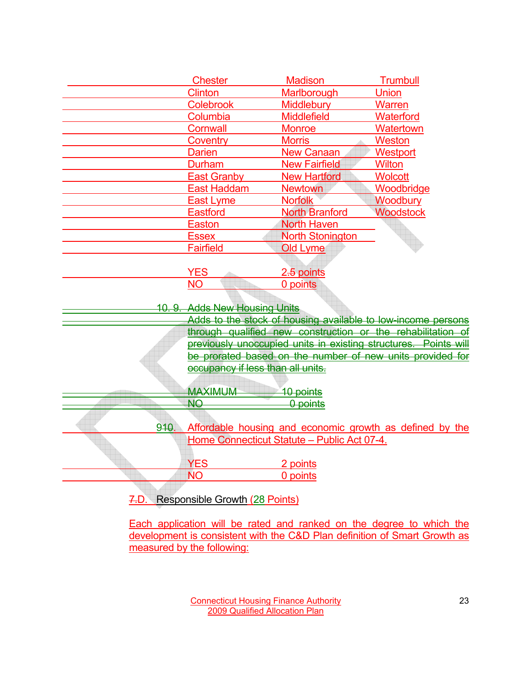|                 | <b>Chester</b>                                                  | <b>Madison</b>                              | <b>Trumbull</b>                                              |  |
|-----------------|-----------------------------------------------------------------|---------------------------------------------|--------------------------------------------------------------|--|
|                 | <b>Clinton</b>                                                  | Marlborough                                 | <b>Union</b>                                                 |  |
|                 | <b>Colebrook</b>                                                | <b>Middlebury</b>                           | <b>Warren</b>                                                |  |
|                 | Columbia                                                        | <b>Middlefield</b>                          | Waterford                                                    |  |
|                 | <b>Cornwall</b>                                                 | <b>Monroe</b>                               | Watertown                                                    |  |
|                 | Coventry                                                        | <b>Morris</b>                               | <b>Weston</b>                                                |  |
|                 | <b>Darien</b>                                                   | <b>New Canaan</b>                           | Westport                                                     |  |
|                 | Durham                                                          | <b>New Fairfield</b>                        | <b>Wilton</b>                                                |  |
|                 | <b>East Granby</b>                                              | <b>New Hartford</b>                         | <b>Wolcott</b>                                               |  |
|                 | <b>East Haddam</b>                                              | <b>Newtown</b>                              | Woodbridge                                                   |  |
|                 | East Lyme                                                       | <b>Norfolk</b>                              | Woodbury                                                     |  |
|                 | <b>Eastford</b>                                                 | <b>North Branford</b>                       | <b>Woodstock</b>                                             |  |
|                 | <b>Easton</b>                                                   | <b>North Haven</b>                          |                                                              |  |
|                 | <b>Essex</b>                                                    | <b>North Stonington</b>                     |                                                              |  |
|                 | <b>Fairfield</b>                                                | Old Lyme                                    |                                                              |  |
|                 |                                                                 |                                             |                                                              |  |
|                 | <b>YES</b>                                                      | 2.5 points                                  |                                                              |  |
|                 | <b>NO</b>                                                       | 0 points                                    |                                                              |  |
|                 |                                                                 |                                             |                                                              |  |
| <u> 10. 9. </u> | <b>Adds New Housing Units</b>                                   |                                             |                                                              |  |
|                 |                                                                 |                                             | Adds to the stock of housing available to low-income persons |  |
|                 |                                                                 |                                             | through qualified new construction or the rehabilitation of  |  |
|                 | previously unoccupied units in existing structures. Points will |                                             |                                                              |  |
|                 | be prorated based on the number of new units provided for       |                                             |                                                              |  |
|                 | occupancy if less than all units.                               |                                             |                                                              |  |
|                 |                                                                 |                                             |                                                              |  |
|                 | <b>MAXIMUM</b>                                                  | 10 points                                   |                                                              |  |
|                 | <b>NO</b>                                                       | 0 points                                    |                                                              |  |
|                 |                                                                 |                                             |                                                              |  |
| 910.            |                                                                 |                                             | Affordable housing and economic growth as defined by the     |  |
|                 |                                                                 | Home Connecticut Statute - Public Act 07-4. |                                                              |  |
|                 |                                                                 |                                             |                                                              |  |
|                 | <b>YES</b>                                                      | 2 points                                    |                                                              |  |
|                 | <b>NO</b>                                                       | 0 points                                    |                                                              |  |
|                 |                                                                 |                                             |                                                              |  |
| 7.D.            | <b>Responsible Growth (28 Points)</b>                           |                                             |                                                              |  |
|                 | <b>Contract Contract Contract Contract</b>                      |                                             |                                                              |  |

Each application will be rated and ranked on the degree to which the development is consistent with the C&D Plan definition of Smart Growth as measured by the following: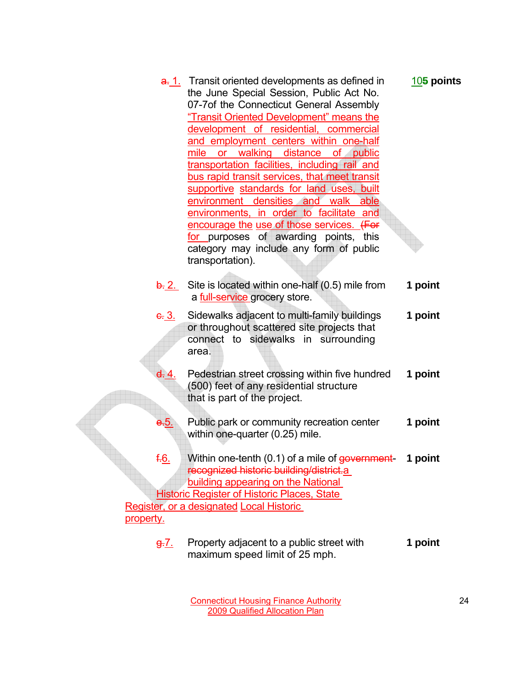|              | a. 1. Transit oriented developments as defined in             | $105$ points |
|--------------|---------------------------------------------------------------|--------------|
|              | the June Special Session, Public Act No.                      |              |
|              | 07-7of the Connecticut General Assembly                       |              |
|              | "Transit Oriented Development" means the                      |              |
|              | development of residential, commercial                        |              |
|              | and employment centers within one-half                        |              |
|              | mile or walking distance<br>of public                         |              |
|              | transportation facilities, including rail and                 |              |
|              | bus rapid transit services, that meet transit                 |              |
|              | supportive standards for land uses, built                     |              |
|              | environment densities and walk<br>able                        |              |
|              | environments, in order to facilitate and                      |              |
|              | encourage the use of those services. (For                     |              |
|              | for purposes of awarding points, this                         |              |
|              | category may include any form of public                       |              |
|              | transportation).                                              |              |
|              |                                                               |              |
|              | $\frac{1}{2}$ Site is located within one-half (0.5) mile from | 1 point      |
|              | a full-service grocery store.                                 |              |
|              | Sidewalks adjacent to multi-family buildings                  | 1 point      |
| <u>c. 3.</u> | or throughout scattered site projects that                    |              |
|              | connect to sidewalks in surrounding                           |              |
|              | area.                                                         |              |
|              |                                                               |              |
| <u>d. 4.</u> | Pedestrian street crossing within five hundred                | 1 point      |
|              | (500) feet of any residential structure                       |              |
|              | that is part of the project.                                  |              |
|              |                                                               |              |
| <u>э.</u> Ь. | Public park or community recreation center                    | 1 point      |
|              | within one-quarter (0.25) mile.                               |              |
|              |                                                               |              |
| f.6.         | Within one-tenth (0.1) of a mile of government-               | 1 point      |
|              | recognized historic building/district.a                       |              |
|              | building appearing on the National                            |              |
|              | <b>Historic Register of Historic Places, State</b>            |              |
|              | Register, or a designated Local Historic                      |              |
| property.    |                                                               |              |
|              |                                                               |              |
|              |                                                               |              |

g.7. Property adjacent to a public street with **1 point** maximum speed limit of 25 mph.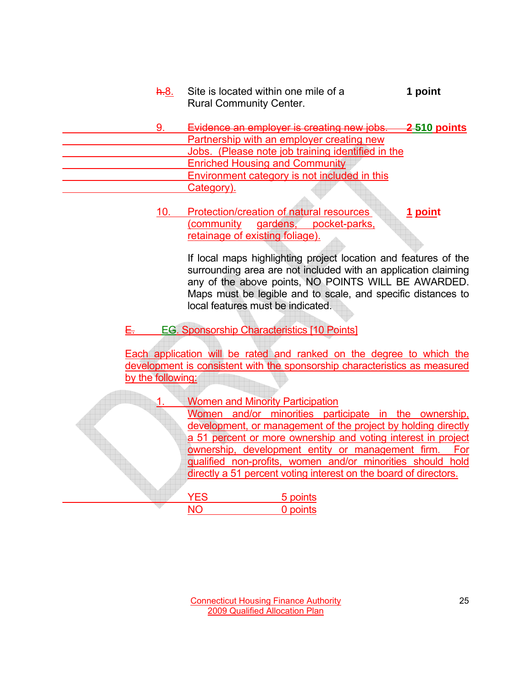- h.8. Site is located within one mile of a **1 point** Rural Community Center.
- 9. Evidence an employer is creating new jobs. **2 510 points** Partnership with an employer creating new Jobs. (Please note job training identified in the Enriched Housing and Community Environment category is not included in this Category).
	- 10. Protection/creation of natural resources **1 point** (community gardens, pocket-parks, retainage of existing foliage).

If local maps highlighting project location and features of the surrounding area are not included with an application claiming any of the above points, NO POINTS WILL BE AWARDED. Maps must be legible and to scale, and specific distances to local features must be indicated.

E. EG. Sponsorship Characteristics [10 Points]

Each application will be rated and ranked on the degree to which the development is consistent with the sponsorship characteristics as measured by the following:

|            | <b>Women and Minority Participation</b>                          |  |  |  |
|------------|------------------------------------------------------------------|--|--|--|
|            | Women and/or minorities participate in the ownership,            |  |  |  |
|            | development, or management of the project by holding directly    |  |  |  |
|            | a 51 percent or more ownership and voting interest in project    |  |  |  |
|            | ownership, development entity or management firm. For            |  |  |  |
|            | gualified non-profits, women and/or minorities should hold       |  |  |  |
|            | directly a 51 percent voting interest on the board of directors. |  |  |  |
|            |                                                                  |  |  |  |
| <b>YES</b> | 5 points                                                         |  |  |  |
| NΟ         | 0 points                                                         |  |  |  |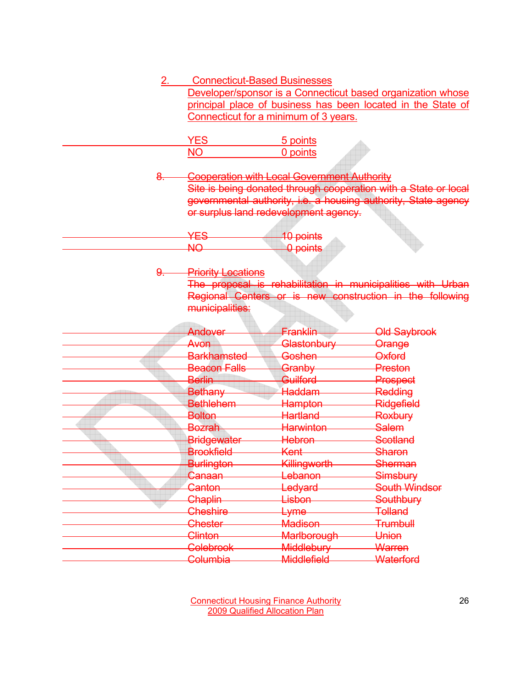| 2.        | <b>Connecticut-Based Businesses</b>                                                                                         |                    |                                                                                                                         |
|-----------|-----------------------------------------------------------------------------------------------------------------------------|--------------------|-------------------------------------------------------------------------------------------------------------------------|
|           | Developer/sponsor is a Connecticut based organization whose<br>principal place of business has been located in the State of |                    |                                                                                                                         |
|           | Connecticut for a minimum of 3 years.                                                                                       |                    |                                                                                                                         |
|           |                                                                                                                             |                    |                                                                                                                         |
|           | <b>YES</b>                                                                                                                  | 5 points           |                                                                                                                         |
|           | <b>NO</b>                                                                                                                   | 0 points           |                                                                                                                         |
|           |                                                                                                                             |                    |                                                                                                                         |
| 8.        | <b>Cooperation with Local Government Authority</b>                                                                          |                    |                                                                                                                         |
|           |                                                                                                                             |                    | Site is being donated through cooperation with a State or local                                                         |
|           |                                                                                                                             |                    | governmental authority, i.e. a housing authority, State agency                                                          |
|           | or surplus land redevelopment agency.                                                                                       |                    |                                                                                                                         |
|           |                                                                                                                             |                    |                                                                                                                         |
|           | <b>YES</b>                                                                                                                  | 10 points          |                                                                                                                         |
|           | <b>NO</b>                                                                                                                   | 0 points           |                                                                                                                         |
|           |                                                                                                                             |                    |                                                                                                                         |
| <u>9.</u> | <b>Priority Locations</b>                                                                                                   |                    |                                                                                                                         |
|           |                                                                                                                             |                    | The proposal is rehabilitation in municipalities with Urban<br>Regional Centers or is new construction in the following |
|           | municipalities:                                                                                                             |                    |                                                                                                                         |
|           |                                                                                                                             |                    |                                                                                                                         |
|           | Andover                                                                                                                     | Franklin           | <b>Old Saybrook</b>                                                                                                     |
|           | Avon                                                                                                                        | Glastonbury        | Orange                                                                                                                  |
|           | <b>Barkhamsted</b>                                                                                                          | Goshen–            | <b>Oxford</b>                                                                                                           |
|           | <b>Beacon Falls</b>                                                                                                         | Granby             | Preston                                                                                                                 |
|           | <b>Berlin</b>                                                                                                               | Guilford           | Prospect                                                                                                                |
|           | Bethany                                                                                                                     | Haddam             | Redding                                                                                                                 |
|           | <b>Bethlehem</b>                                                                                                            | Hampton            | Ridgefield                                                                                                              |
|           | <b>Bolton</b>                                                                                                               | Hartland           | Roxbury                                                                                                                 |
|           | Bozrah                                                                                                                      | Harwinton          | Salem                                                                                                                   |
|           | <b>Bridgewater</b>                                                                                                          | Hebron-            | Scotland                                                                                                                |
|           | <b>Brookfield</b>                                                                                                           | <del>Kent</del>    | Sharon                                                                                                                  |
|           | <del>Burlington</del>                                                                                                       | Killingworth       | <del>Sherman</del>                                                                                                      |
|           | Canaan                                                                                                                      | Lebanon            | <b>Simsbury</b>                                                                                                         |
|           | Canton                                                                                                                      | Ledyard            | <b>South Windsor</b>                                                                                                    |
|           | Chaplin                                                                                                                     | Lisbon             | <b>Southbury</b>                                                                                                        |
|           | Cheshire                                                                                                                    | Lyme               | Tolland                                                                                                                 |
|           | Chester                                                                                                                     | <b>Madison</b>     | <b>Trumbull</b>                                                                                                         |
|           | Clinton                                                                                                                     | <b>Marlborough</b> | Union                                                                                                                   |
|           | <b>Colebrook</b>                                                                                                            | Middlebury         | Warren                                                                                                                  |
|           | <b>Columbia</b>                                                                                                             | Middlefield        | Waterford                                                                                                               |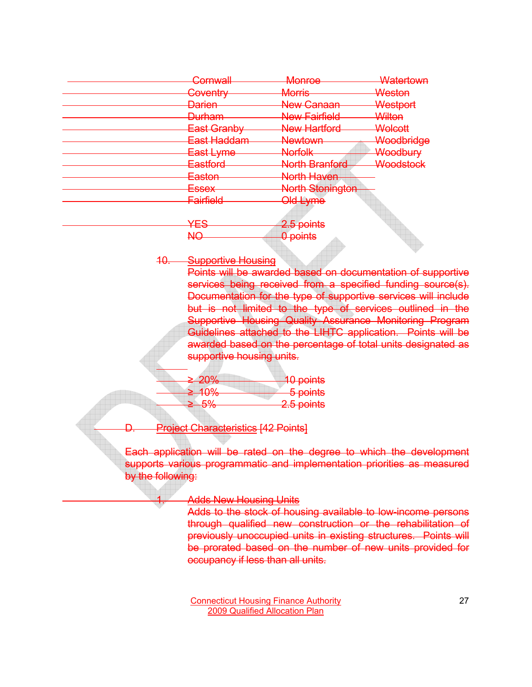| Cornwall            | <del>Monroe</del>       | Watertown  |
|---------------------|-------------------------|------------|
| <del>Coventry</del> | <b>Morris</b>           | Weston     |
| <b>Darien</b>       | New Canaan              | Westport   |
| <b>Durham</b>       | <b>New Fairfield</b>    | Wilton     |
| East Granby         | <b>New Hartford</b>     | Wolcott    |
| East Haddam         | <b>Newtown</b>          | Woodbridge |
| East Lyme           | <b>Norfolk</b>          | Woodbury   |
| Eastford            | <b>North Branford</b>   | Woodstock  |
| <del>Easton</del>   | North Haven             |            |
| <u>Essex</u>        | <b>North Stonington</b> |            |
| <b>Fairfield</b>    | Old Lyme                |            |
|                     |                         |            |

YES 2.5 points NO 0 points

10. Supportive Housing

Points will be awarded based on documentation of supportive services being received from a specified funding source(s). Documentation for the type of supportive services will include but is not limited to the type of services outlined in the Supportive Housing Quality Assurance Monitoring Program Guidelines attached to the LIHTC application. Points will be awarded based on the percentage of total units designated as supportive housing units.

| > 200                 | <b>40 points</b>      |
|-----------------------|-----------------------|
| $= 20.0$              |                       |
| >100/                 | 5 points              |
| <del>71070 - 10</del> |                       |
| 50/                   | 2.5 nointe            |
|                       | <del>ב.ס טטוונס</del> |

D. Project Characteristics [42 Points]

Each application will be rated on the degree to which the development supports various programmatic and implementation priorities as measured by the following:

**Adds New Housing Units** 

Adds to the stock of housing available to low-income persons through qualified new construction or the rehabilitation of previously unoccupied units in existing structures. Points will be prorated based on the number of new units provided for occupancy if less than all units.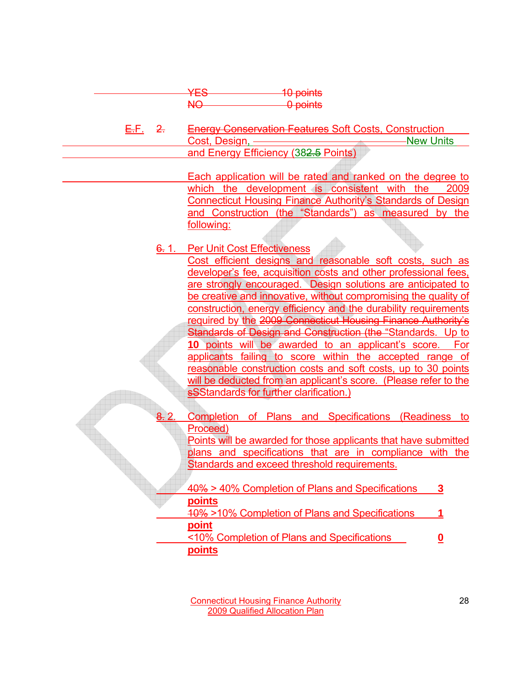| Eo         | $10$ nointe<br><del>TU DUIHO</del> |
|------------|------------------------------------|
| $\sqrt{ }$ | n nointe<br><del>u punto</del>     |

 E.F. 2. Energy Conservation Features Soft Costs, Construction Cost, Design, New Units and Energy Efficiency (382.5 Points)

> Each application will be rated and ranked on the degree to which the development is consistent with the 2009 Connecticut Housing Finance Authority's Standards of Design and Construction (the "Standards") as measured by the following:

### 6. 1. Per Unit Cost Effectiveness

Cost efficient designs and reasonable soft costs, such as developer's fee, acquisition costs and other professional fees, are strongly encouraged. Design solutions are anticipated to be creative and innovative, without compromising the quality of construction, energy efficiency and the durability requirements required by the 2009 Connecticut Housing Finance Authority's Standards of Design and Construction (the "Standards. Up to **10** points will be awarded to an applicant's score. For applicants failing to score within the accepted range of reasonable construction costs and soft costs, up to 30 points will be deducted from an applicant's score. (Please refer to the **sSStandards for further clarification.)** 

Completion of Plans and Specifications (Readiness to Proceed)

Points will be awarded for those applicants that have submitted plans and specifications that are in compliance with the Standards and exceed threshold requirements.

| 40% > 40% Completion of Plans and Specifications          | 3 |
|-----------------------------------------------------------|---|
| points<br>40% >10% Completion of Plans and Specifications |   |
| point<br><10% Completion of Plans and Specifications      |   |

**points**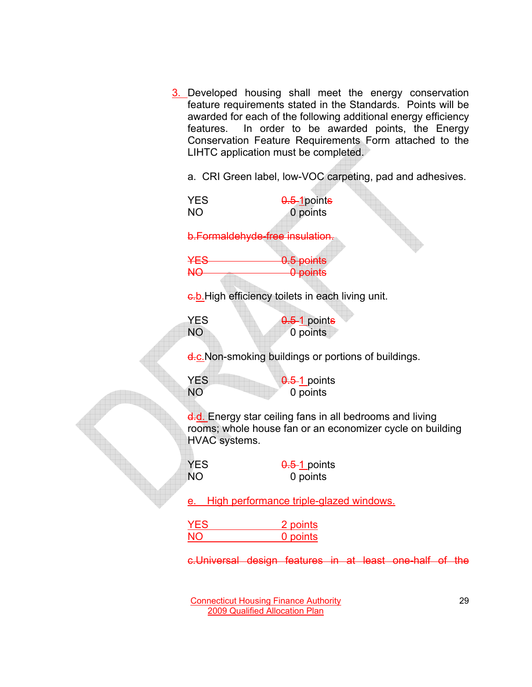3. Developed housing shall meet the energy conservation feature requirements stated in the Standards. Points will be awarded for each of the following additional energy efficiency features. In order to be awarded points, the Energy Conservation Feature Requirements Form attached to the LIHTC application must be completed.

a. CRI Green label, low-VOC carpeting, pad and adhesives.

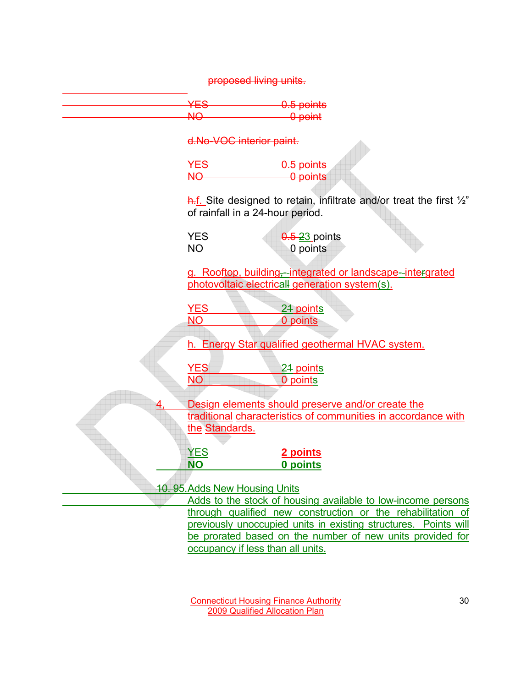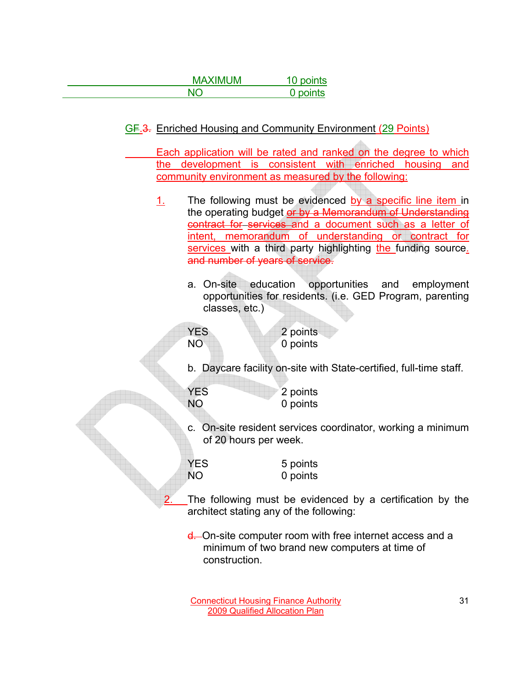| <b>MAXIMUM</b> | 10 points |
|----------------|-----------|
| $\overline{M}$ | 0 points  |

GF.3. Enriched Housing and Community Environment (29 Points)

 Each application will be rated and ranked on the degree to which the development is consistent with enriched housing and community environment as measured by the following:

- 1. The following must be evidenced by a specific line item in the operating budget or by a Memorandum of Understanding contract for services and a document such as a letter of intent, memorandum of understanding or contract for services with a third party highlighting the funding source. and number of years of service.
	- a. On-site education opportunities and employment opportunities for residents. (i.e. GED Program, parenting classes, etc.)
	- YES 2 points NO 0 points

b. Daycare facility on-site with State-certified, full-time staff.

YES 2 points NO 0 points

c. On-site resident services coordinator, working a minimum of 20 hours per week.

YES 5 points NO 0 points

- The following must be evidenced by a certification by the architect stating any of the following:
- d. On-site computer room with free internet access and a minimum of two brand new computers at time of construction.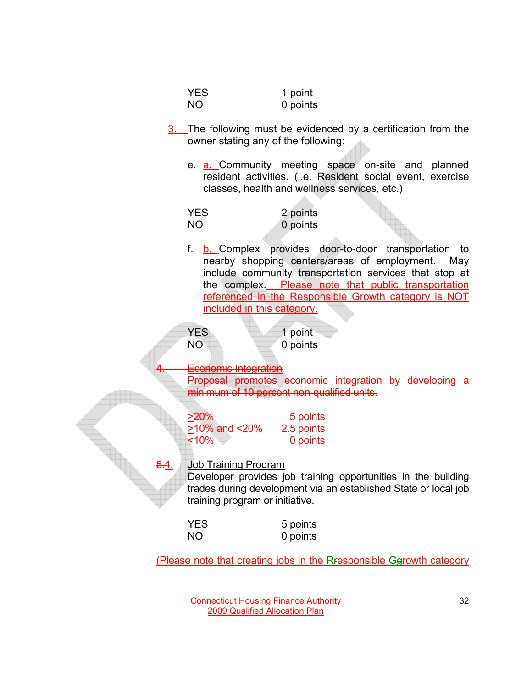|      | <b>YES</b><br><b>NO</b>                                        | 1 point<br>0 points                                                                                                                                                                                                                                                                   |
|------|----------------------------------------------------------------|---------------------------------------------------------------------------------------------------------------------------------------------------------------------------------------------------------------------------------------------------------------------------------------|
|      | owner stating any of the following:                            | 3. The following must be evidenced by a certification from the                                                                                                                                                                                                                        |
|      |                                                                | e. a. Community meeting space on-site and planned<br>resident activities. (i.e. Resident social event, exercise<br>classes, health and wellness services, etc.)                                                                                                                       |
|      | <b>YES</b><br><b>NO</b>                                        | 2 points<br>0 points                                                                                                                                                                                                                                                                  |
|      | included in this category.                                     | f. b. Complex provides door-to-door transportation<br>to<br>nearby shopping centers/areas of employment. May<br>include community transportation services that stop at<br>the complex. Please note that public transportation<br>referenced in the Responsible Growth category is NOT |
|      | <b>YES</b><br><b>NO</b>                                        | 1 point<br>0 points                                                                                                                                                                                                                                                                   |
|      | <b>Economic Integration</b>                                    | Proposal promotes economic integration by developing a<br>minimum of 10 percent non-qualified units.                                                                                                                                                                                  |
|      | 20%<br>>10% and<br><del>&lt;20%</del> —<br>40%>                | <del>5 points</del><br>2.5 points<br>0 points                                                                                                                                                                                                                                         |
| 5.4. | <b>Job Training Program</b><br>training program or initiative. | Developer provides job training opportunities in the building<br>trades during development via an established State or local job                                                                                                                                                      |
|      | <b>YES</b><br><b>NO</b>                                        | 5 points<br>0 points                                                                                                                                                                                                                                                                  |
|      |                                                                | (Please note that creating jobs in the Rresponsible Ggrowth category                                                                                                                                                                                                                  |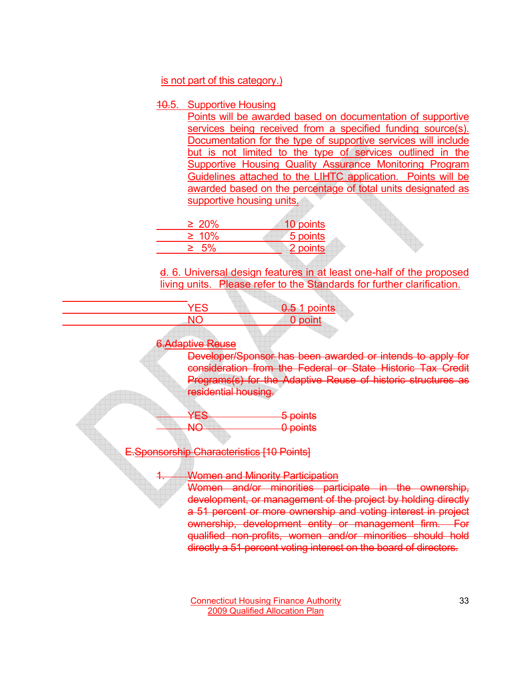### is not part of this category.)

### 10.5. Supportive Housing

Points will be awarded based on documentation of supportive services being received from a specified funding source(s). Documentation for the type of supportive services will include but is not limited to the type of services outlined in the Supportive Housing Quality Assurance Monitoring Program Guidelines attached to the LIHTC application. Points will be awarded based on the percentage of total units designated as supportive housing units.

| $\geq 20\%$ | 10 points |
|-------------|-----------|
| $\geq 10\%$ | 5 points  |
|             | 2 points  |

d. 6. Universal design features in at least one-half of the proposed living units. Please refer to the Standards for further clarification.

| <b>points</b><br>- <del>U.S</del> 1 - |
|---------------------------------------|
|                                       |
|                                       |

## **Adaptive Reuse**

Developer/Sponsor has been awarded or intends to apply for consideration from the Federal or State Historic Tax Credit Programs(s) for the Adaptive Reuse of historic structures as residential housing.

YES 5 points NO 0 points

E.Sponsorship Characteristics [10 Points]

Women and Minority Participation

Women and/or minorities participate in the ownership, development, or management of the project by holding directly a 51 percent or more ownership and voting interest in project ownership, development entity or management firm. For qualified non-profits, women and/or minorities should hold directly a 51 percent voting interest on the board of directors.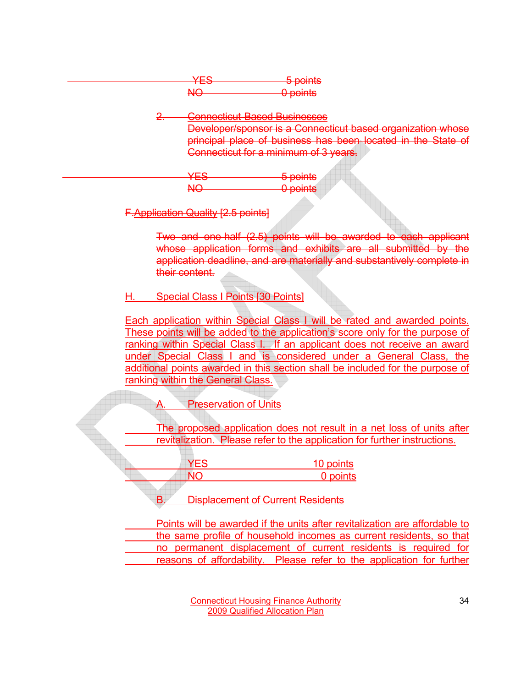| 5 nointe                      |
|-------------------------------|
| $\sigma$ bonne                |
| n nointe<br><del>oom no</del> |

2. Connecticut-Based Businesses

Developer/sponsor is a Connecticut based organization whose principal place of business has been located in the State of Connecticut for a minimum of 3 years.

YES 5 points NO 0 points

F.Application Quality [2.5 points]

Two and one-half (2.5) points will be awarded to each applicant whose application forms and exhibits are all submitted by the application deadline, and are materially and substantively complete in their content.

H. Special Class I Points [30 Points]

Each application within Special Class I will be rated and awarded points. These points will be added to the application's score only for the purpose of ranking within Special Class I. If an applicant does not receive an award under Special Class I and is considered under a General Class, the additional points awarded in this section shall be included for the purpose of ranking within the General Class.

**Preservation of Units** 

 The proposed application does not result in a net loss of units after revitalization. Please refer to the application for further instructions.

**YES** 10 points NO 0 points

B. Displacement of Current Residents

 Points will be awarded if the units after revitalization are affordable to the same profile of household incomes as current residents, so that no permanent displacement of current residents is required for reasons of affordability. Please refer to the application for further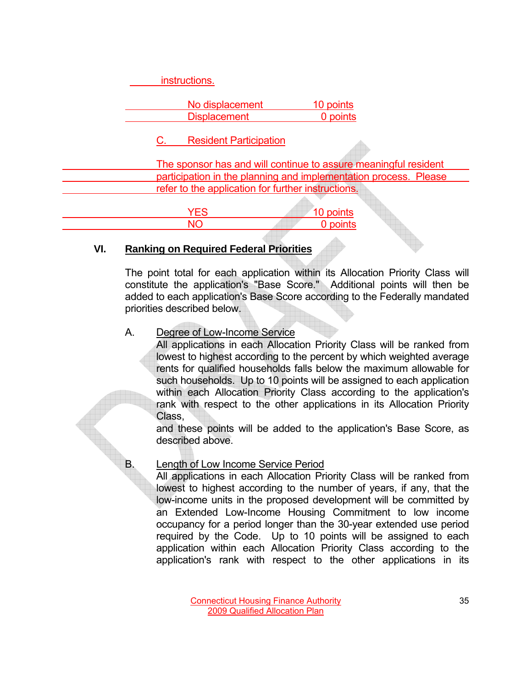|                                                    | instructions.                          |                                                                  |
|----------------------------------------------------|----------------------------------------|------------------------------------------------------------------|
|                                                    | No displacement<br><b>Displacement</b> | 10 points<br>0 points                                            |
|                                                    | <b>Resident Participation</b>          |                                                                  |
|                                                    |                                        | The sponsor has and will continue to assure meaningful resident  |
|                                                    |                                        | participation in the planning and implementation process. Please |
| refer to the application for further instructions. |                                        |                                                                  |
|                                                    | <b>YES</b>                             | 10 points                                                        |
|                                                    |                                        | 0 points                                                         |

#### **VI. Ranking on Required Federal Priorities**

The point total for each application within its Allocation Priority Class will constitute the application's "Base Score." Additional points will then be added to each application's Base Score according to the Federally mandated priorities described below.

#### A. Degree of Low-Income Service

All applications in each Allocation Priority Class will be ranked from lowest to highest according to the percent by which weighted average rents for qualified households falls below the maximum allowable for such households. Up to 10 points will be assigned to each application within each Allocation Priority Class according to the application's rank with respect to the other applications in its Allocation Priority Class,

and these points will be added to the application's Base Score, as described above.

#### B. Length of Low Income Service Period

All applications in each Allocation Priority Class will be ranked from lowest to highest according to the number of years, if any, that the low-income units in the proposed development will be committed by an Extended Low-Income Housing Commitment to low income occupancy for a period longer than the 30-year extended use period required by the Code. Up to 10 points will be assigned to each application within each Allocation Priority Class according to the application's rank with respect to the other applications in its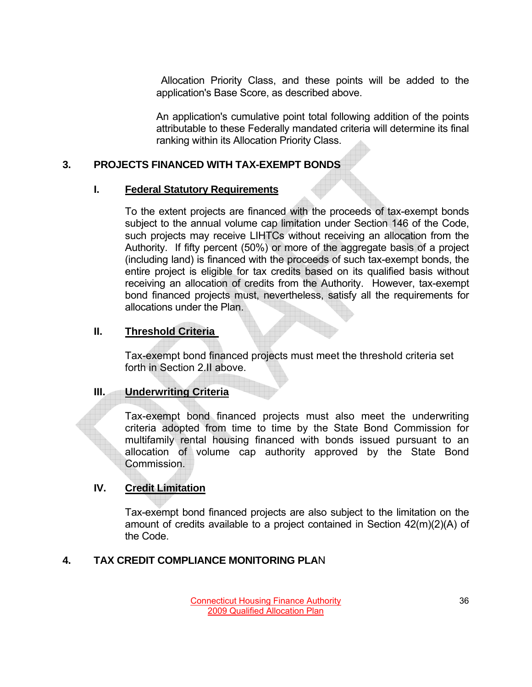Allocation Priority Class, and these points will be added to the application's Base Score, as described above.

An application's cumulative point total following addition of the points attributable to these Federally mandated criteria will determine its final ranking within its Allocation Priority Class.

## **3. PROJECTS FINANCED WITH TAX-EXEMPT BONDS**

### **I. Federal Statutory Requirements**

 To the extent projects are financed with the proceeds of tax-exempt bonds subject to the annual volume cap limitation under Section 146 of the Code, such projects may receive LIHTCs without receiving an allocation from the Authority. If fifty percent (50%) or more of the aggregate basis of a project (including land) is financed with the proceeds of such tax-exempt bonds, the entire project is eligible for tax credits based on its qualified basis without receiving an allocation of credits from the Authority. However, tax-exempt bond financed projects must, nevertheless, satisfy all the requirements for allocations under the Plan.

## **II. Threshold Criteria**

Tax-exempt bond financed projects must meet the threshold criteria set forth in Section 2.II above.

## **III. Underwriting Criteria**

 Tax-exempt bond financed projects must also meet the underwriting criteria adopted from time to time by the State Bond Commission for multifamily rental housing financed with bonds issued pursuant to an allocation of volume cap authority approved by the State Bond Commission.

## **IV. Credit Limitation**

Tax-exempt bond financed projects are also subject to the limitation on the amount of credits available to a project contained in Section 42(m)(2)(A) of the Code.

## **4. TAX CREDIT COMPLIANCE MONITORING PLA**N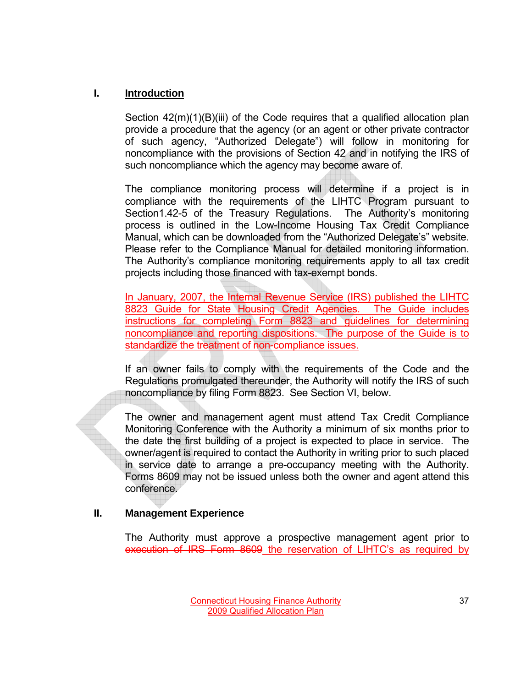### **I. Introduction**

Section 42(m)(1)(B)(iii) of the Code requires that a qualified allocation plan provide a procedure that the agency (or an agent or other private contractor of such agency, "Authorized Delegate") will follow in monitoring for noncompliance with the provisions of Section 42 and in notifying the IRS of such noncompliance which the agency may become aware of.

The compliance monitoring process will determine if a project is in compliance with the requirements of the LIHTC Program pursuant to Section1.42-5 of the Treasury Regulations. The Authority's monitoring process is outlined in the Low-Income Housing Tax Credit Compliance Manual, which can be downloaded from the "Authorized Delegate's" website. Please refer to the Compliance Manual for detailed monitoring information. The Authority's compliance monitoring requirements apply to all tax credit projects including those financed with tax-exempt bonds.

In January, 2007, the Internal Revenue Service (IRS) published the LIHTC 8823 Guide for State Housing Credit Agencies. The Guide includes instructions for completing Form 8823 and guidelines for determining noncompliance and reporting dispositions. The purpose of the Guide is to standardize the treatment of non-compliance issues.

If an owner fails to comply with the requirements of the Code and the Regulations promulgated thereunder, the Authority will notify the IRS of such noncompliance by filing Form 8823. See Section VI, below.

The owner and management agent must attend Tax Credit Compliance Monitoring Conference with the Authority a minimum of six months prior to the date the first building of a project is expected to place in service. The owner/agent is required to contact the Authority in writing prior to such placed in service date to arrange a pre-occupancy meeting with the Authority. Forms 8609 may not be issued unless both the owner and agent attend this conference.

### **II. Management Experience**

The Authority must approve a prospective management agent prior to execution of IRS Form 8609 the reservation of LIHTC's as required by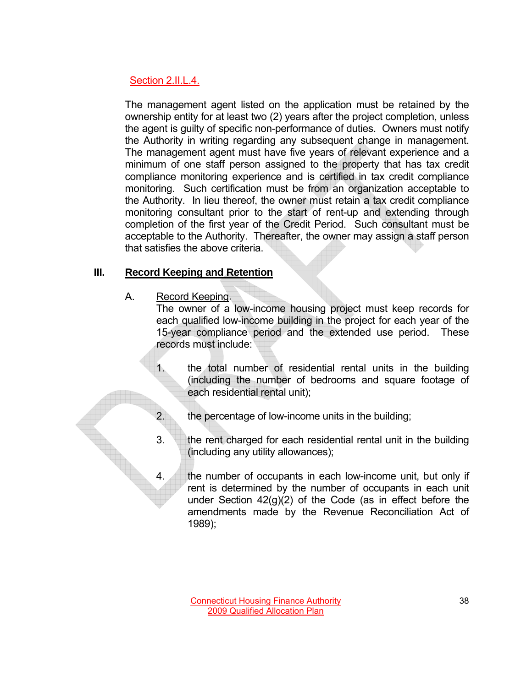## Section 2.II.L.4.

The management agent listed on the application must be retained by the ownership entity for at least two (2) years after the project completion, unless the agent is guilty of specific non-performance of duties. Owners must notify the Authority in writing regarding any subsequent change in management. The management agent must have five years of relevant experience and a minimum of one staff person assigned to the property that has tax credit compliance monitoring experience and is certified in tax credit compliance monitoring. Such certification must be from an organization acceptable to the Authority. In lieu thereof, the owner must retain a tax credit compliance monitoring consultant prior to the start of rent-up and extending through completion of the first year of the Credit Period. Such consultant must be acceptable to the Authority. Thereafter, the owner may assign a staff person that satisfies the above criteria.

## **III. Record Keeping and Retention**

A. Record Keeping.

 The owner of a low-income housing project must keep records for each qualified low-income building in the project for each year of the 15-year compliance period and the extended use period. These records must include:

 1. the total number of residential rental units in the building (including the number of bedrooms and square footage of each residential rental unit);

- 2. the percentage of low-income units in the building;
- 3. the rent charged for each residential rental unit in the building (including any utility allowances);
- 4. the number of occupants in each low-income unit, but only if rent is determined by the number of occupants in each unit under Section 42(g)(2) of the Code (as in effect before the amendments made by the Revenue Reconciliation Act of 1989);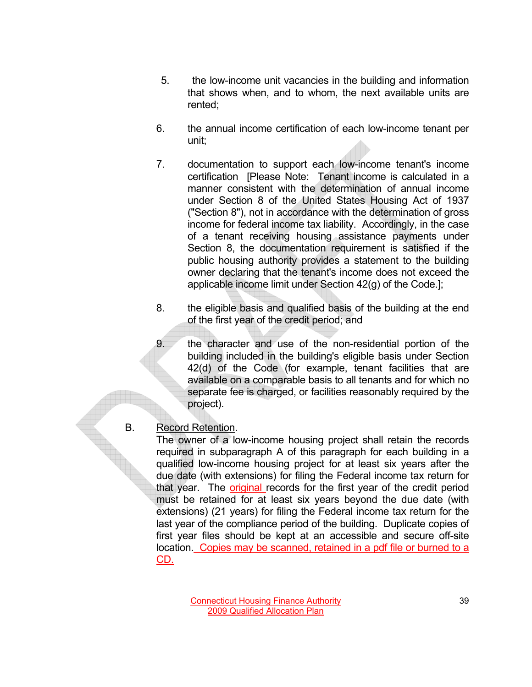- 5. the low-income unit vacancies in the building and information that shows when, and to whom, the next available units are rented;
- 6. the annual income certification of each low-income tenant per unit;
- 7. documentation to support each low-income tenant's income certification [Please Note: Tenant income is calculated in a manner consistent with the determination of annual income under Section 8 of the United States Housing Act of 1937 ("Section 8"), not in accordance with the determination of gross income for federal income tax liability. Accordingly, in the case of a tenant receiving housing assistance payments under Section 8, the documentation requirement is satisfied if the public housing authority provides a statement to the building owner declaring that the tenant's income does not exceed the applicable income limit under Section 42(g) of the Code.];
- 8. the eligible basis and qualified basis of the building at the end of the first year of the credit period; and
- 9. the character and use of the non-residential portion of the building included in the building's eligible basis under Section 42(d) of the Code (for example, tenant facilities that are available on a comparable basis to all tenants and for which no separate fee is charged, or facilities reasonably required by the project).

### B. Record Retention.

The owner of a low-income housing project shall retain the records required in subparagraph A of this paragraph for each building in a qualified low-income housing project for at least six years after the due date (with extensions) for filing the Federal income tax return for that year. The original records for the first year of the credit period must be retained for at least six years beyond the due date (with extensions) (21 years) for filing the Federal income tax return for the last year of the compliance period of the building. Duplicate copies of first year files should be kept at an accessible and secure off-site location. Copies may be scanned, retained in a pdf file or burned to a CD.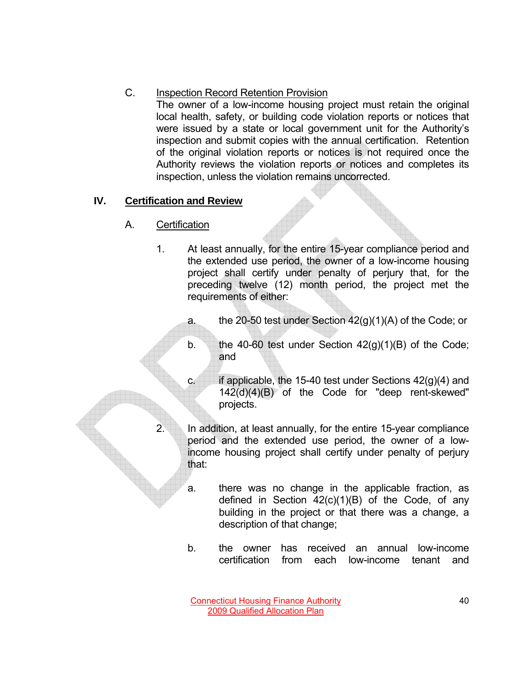# C. Inspection Record Retention Provision

 The owner of a low-income housing project must retain the original local health, safety, or building code violation reports or notices that were issued by a state or local government unit for the Authority's inspection and submit copies with the annual certification. Retention of the original violation reports or notices is not required once the Authority reviews the violation reports or notices and completes its inspection, unless the violation remains uncorrected.

# **IV. Certification and Review**

- A. Certification
	- 1. At least annually, for the entire 15-year compliance period and the extended use period, the owner of a low-income housing project shall certify under penalty of perjury that, for the preceding twelve (12) month period, the project met the requirements of either:
		- a. the 20-50 test under Section 42(g)(1)(A) of the Code; or
		- b. the 40-60 test under Section  $42(g)(1)(B)$  of the Code; and
		- c. if applicable, the 15-40 test under Sections  $42(g)(4)$  and 142(d)(4)(B) of the Code for "deep rent-skewed" projects.
		- 2. In addition, at least annually, for the entire 15-year compliance period and the extended use period, the owner of a lowincome housing project shall certify under penalty of perjury that:
			- a. there was no change in the applicable fraction, as defined in Section  $42(c)(1)(B)$  of the Code, of any building in the project or that there was a change, a description of that change;
			- b. the owner has received an annual low-income certification from each low-income tenant and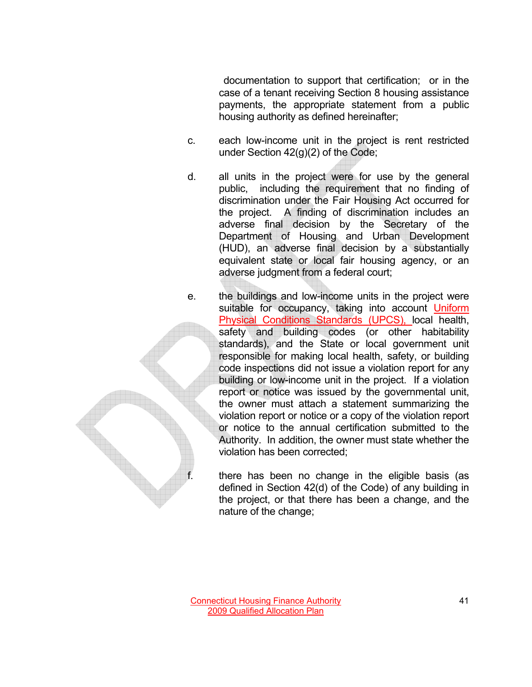documentation to support that certification; or in the case of a tenant receiving Section 8 housing assistance payments, the appropriate statement from a public housing authority as defined hereinafter;

- c. each low-income unit in the project is rent restricted under Section 42(g)(2) of the Code;
- d. all units in the project were for use by the general public, including the requirement that no finding of discrimination under the Fair Housing Act occurred for the project. A finding of discrimination includes an adverse final decision by the Secretary of the Department of Housing and Urban Development (HUD), an adverse final decision by a substantially equivalent state or local fair housing agency, or an adverse judgment from a federal court;
- e. the buildings and low-income units in the project were suitable for occupancy, taking into account Uniform Physical Conditions Standards (UPCS), local health, safety and building codes (or other habitability standards), and the State or local government unit responsible for making local health, safety, or building code inspections did not issue a violation report for any building or low-income unit in the project. If a violation report or notice was issued by the governmental unit, the owner must attach a statement summarizing the violation report or notice or a copy of the violation report or notice to the annual certification submitted to the Authority. In addition, the owner must state whether the violation has been corrected;

there has been no change in the eligible basis (as defined in Section 42(d) of the Code) of any building in the project, or that there has been a change, and the nature of the change;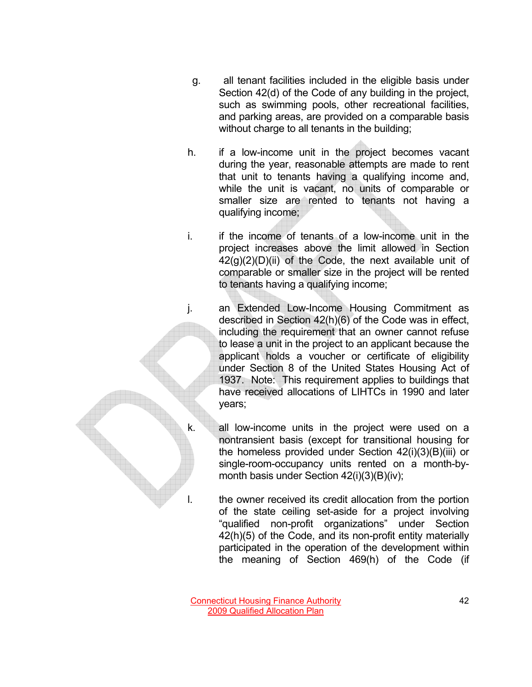- g. all tenant facilities included in the eligible basis under Section 42(d) of the Code of any building in the project, such as swimming pools, other recreational facilities, and parking areas, are provided on a comparable basis without charge to all tenants in the building;
- h. if a low-income unit in the project becomes vacant during the year, reasonable attempts are made to rent that unit to tenants having a qualifying income and, while the unit is vacant, no units of comparable or smaller size are rented to tenants not having a qualifying income;
- i. if the income of tenants of a low-income unit in the project increases above the limit allowed in Section  $42(g)(2)(D)(ii)$  of the Code, the next available unit of comparable or smaller size in the project will be rented to tenants having a qualifying income;
- j. an Extended Low-Income Housing Commitment as described in Section 42(h)(6) of the Code was in effect, including the requirement that an owner cannot refuse to lease a unit in the project to an applicant because the applicant holds a voucher or certificate of eligibility under Section 8 of the United States Housing Act of 1937. Note: This requirement applies to buildings that have received allocations of LIHTCs in 1990 and later years;
- k. all low-income units in the project were used on a nontransient basis (except for transitional housing for the homeless provided under Section 42(i)(3)(B)(iii) or single-room-occupancy units rented on a month-bymonth basis under Section 42(i)(3)(B)(iv);
- l. the owner received its credit allocation from the portion of the state ceiling set-aside for a project involving "qualified non-profit organizations" under Section 42(h)(5) of the Code, and its non-profit entity materially participated in the operation of the development within the meaning of Section 469(h) of the Code (if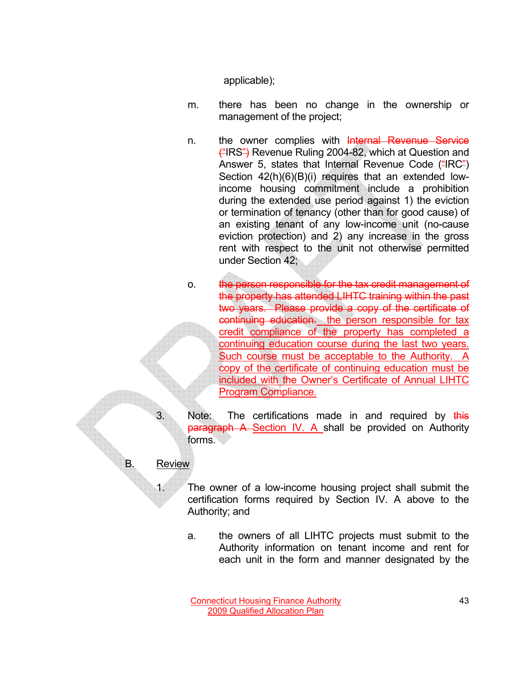applicable);

- m. there has been no change in the ownership or management of the project;
- n. the owner complies with Internal Revenue Service ("IRS") Revenue Ruling 2004-82, which at Question and Answer 5, states that Internal Revenue Code ("IRC") Section  $42(h)(6)(B)(i)$  requires that an extended lowincome housing commitment include a prohibition during the extended use period against 1) the eviction or termination of tenancy (other than for good cause) of an existing tenant of any low-income unit (no-cause eviction protection) and 2) any increase in the gross rent with respect to the unit not otherwise permitted under Section 42;
- o. the person responsible for the tax credit management of the property has attended LIHTC training within the past two years. Please provide a copy of the certificate of continuing education. the person responsible for tax credit compliance of the property has completed a continuing education course during the last two years. Such course must be acceptable to the Authority. A copy of the certificate of continuing education must be included with the Owner's Certificate of Annual LIHTC Program Compliance.
- Note: The certifications made in and required by this paragraph A Section IV. A shall be provided on Authority forms.
- B. Review
	- 1. The owner of a low-income housing project shall submit the certification forms required by Section IV. A above to the Authority; and
		- a. the owners of all LIHTC projects must submit to the Authority information on tenant income and rent for each unit in the form and manner designated by the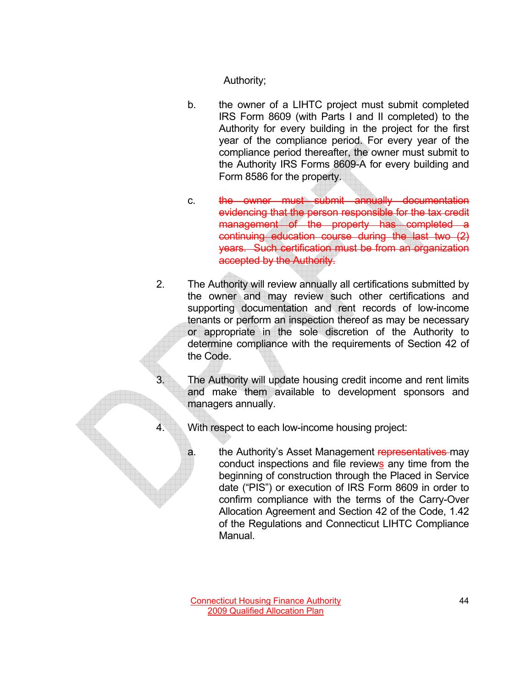Authority;

- b. the owner of a LIHTC project must submit completed IRS Form 8609 (with Parts I and II completed) to the Authority for every building in the project for the first year of the compliance period. For every year of the compliance period thereafter, the owner must submit to the Authority IRS Forms 8609-A for every building and Form 8586 for the property.
- c. the owner must submit annually documentation evidencing that the person responsible for the tax credit management of the property has completed a continuing education course during the last two (2) years. Such certification must be from an organization accepted by the Authority.
- 2. The Authority will review annually all certifications submitted by the owner and may review such other certifications and supporting documentation and rent records of low-income tenants or perform an inspection thereof as may be necessary or appropriate in the sole discretion of the Authority to determine compliance with the requirements of Section 42 of the Code.
	- The Authority will update housing credit income and rent limits and make them available to development sponsors and managers annually.
		- With respect to each low-income housing project:
			- a. the Authority's Asset Management representatives may conduct inspections and file reviews any time from the beginning of construction through the Placed in Service date ("PIS") or execution of IRS Form 8609 in order to confirm compliance with the terms of the Carry-Over Allocation Agreement and Section 42 of the Code, 1.42 of the Regulations and Connecticut LIHTC Compliance Manual.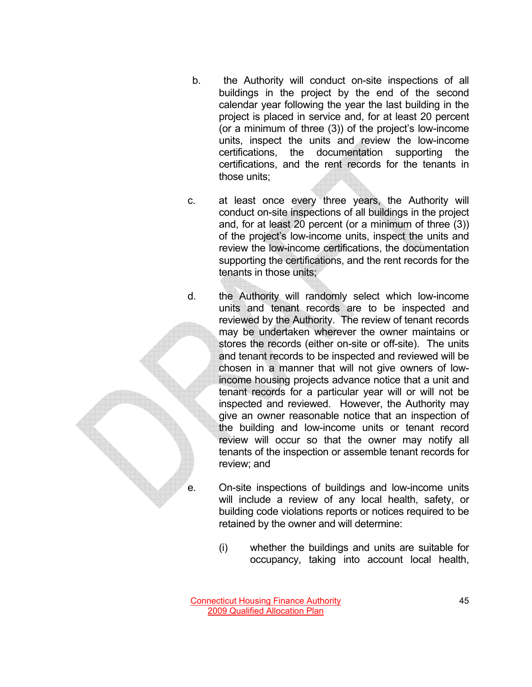- b. the Authority will conduct on-site inspections of all buildings in the project by the end of the second calendar year following the year the last building in the project is placed in service and, for at least 20 percent (or a minimum of three (3)) of the project's low-income units, inspect the units and review the low-income certifications, the documentation supporting the certifications, and the rent records for the tenants in those units;
- c. at least once every three years, the Authority will conduct on-site inspections of all buildings in the project and, for at least 20 percent (or a minimum of three (3)) of the project's low-income units, inspect the units and review the low-income certifications, the documentation supporting the certifications, and the rent records for the tenants in those units;
- d. the Authority will randomly select which low-income units and tenant records are to be inspected and reviewed by the Authority. The review of tenant records may be undertaken wherever the owner maintains or stores the records (either on-site or off-site). The units and tenant records to be inspected and reviewed will be chosen in a manner that will not give owners of lowincome housing projects advance notice that a unit and tenant records for a particular year will or will not be inspected and reviewed. However, the Authority may give an owner reasonable notice that an inspection of the building and low-income units or tenant record review will occur so that the owner may notify all tenants of the inspection or assemble tenant records for review; and
	- e. On-site inspections of buildings and low-income units will include a review of any local health, safety, or building code violations reports or notices required to be retained by the owner and will determine:
		- (i) whether the buildings and units are suitable for occupancy, taking into account local health,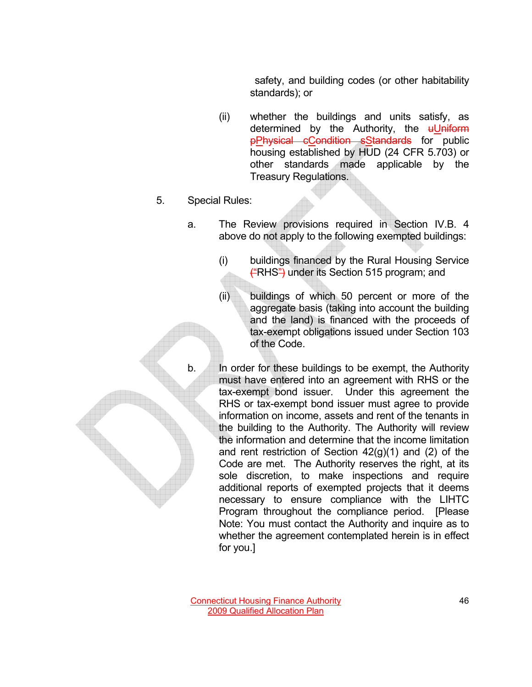safety, and building codes (or other habitability standards); or

- (ii) whether the buildings and units satisfy, as determined by the Authority, the  $\mu$ Uniform pPhysical cCondition sStandards for public housing established by HUD (24 CFR 5.703) or other standards made applicable by the Treasury Regulations.
- 5. Special Rules:
	- a. The Review provisions required in Section IV.B. 4 above do not apply to the following exempted buildings:
		- (i) buildings financed by the Rural Housing Service  $H<sup>2</sup>$  ender its Section 515 program; and
		- (ii) buildings of which 50 percent or more of the aggregate basis (taking into account the building and the land) is financed with the proceeds of tax-exempt obligations issued under Section 103 of the Code.
	- b. In order for these buildings to be exempt, the Authority must have entered into an agreement with RHS or the tax-exempt bond issuer. Under this agreement the RHS or tax-exempt bond issuer must agree to provide information on income, assets and rent of the tenants in the building to the Authority. The Authority will review the information and determine that the income limitation and rent restriction of Section  $42(g)(1)$  and  $(2)$  of the Code are met. The Authority reserves the right, at its sole discretion, to make inspections and require additional reports of exempted projects that it deems necessary to ensure compliance with the LIHTC Program throughout the compliance period. [Please Note: You must contact the Authority and inquire as to whether the agreement contemplated herein is in effect for you.]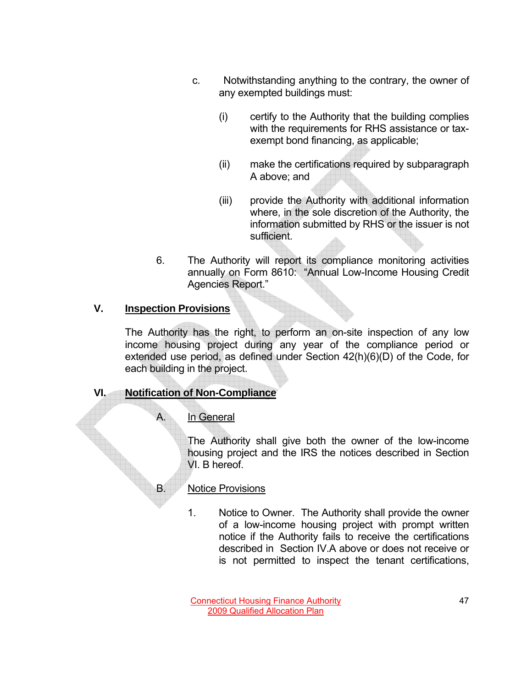- c. Notwithstanding anything to the contrary, the owner of any exempted buildings must:
	- (i) certify to the Authority that the building complies with the requirements for RHS assistance or taxexempt bond financing, as applicable;
	- (ii) make the certifications required by subparagraph A above; and
	- (iii) provide the Authority with additional information where, in the sole discretion of the Authority, the information submitted by RHS or the issuer is not sufficient.
- 6. The Authority will report its compliance monitoring activities annually on Form 8610: "Annual Low-Income Housing Credit Agencies Report."

# **V. Inspection Provisions**

 The Authority has the right, to perform an on-site inspection of any low income housing project during any year of the compliance period or extended use period, as defined under Section 42(h)(6)(D) of the Code, for each building in the project.

# **VI. Notification of Non-Compliance**

# In General

The Authority shall give both the owner of the low-income housing project and the IRS the notices described in Section VI. B hereof.

# B. Notice Provisions

1. Notice to Owner. The Authority shall provide the owner of a low-income housing project with prompt written notice if the Authority fails to receive the certifications described in Section IV.A above or does not receive or is not permitted to inspect the tenant certifications,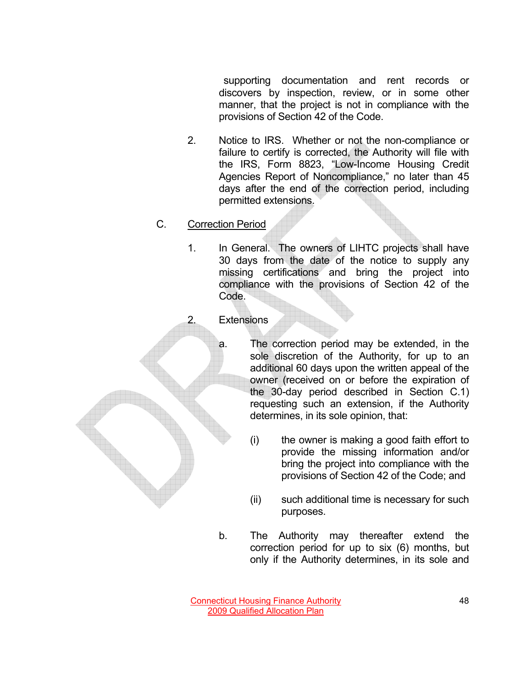supporting documentation and rent records or discovers by inspection, review, or in some other manner, that the project is not in compliance with the provisions of Section 42 of the Code.

- 2. Notice to IRS. Whether or not the non-compliance or failure to certify is corrected, the Authority will file with the IRS, Form 8823, "Low-Income Housing Credit Agencies Report of Noncompliance," no later than 45 days after the end of the correction period, including permitted extensions.
- C. Correction Period
	- 1. In General. The owners of LIHTC projects shall have 30 days from the date of the notice to supply any missing certifications and bring the project into compliance with the provisions of Section 42 of the Code.



a. The correction period may be extended, in the sole discretion of the Authority, for up to an additional 60 days upon the written appeal of the owner (received on or before the expiration of the 30-day period described in Section C.1) requesting such an extension, if the Authority determines, in its sole opinion, that:

- (i) the owner is making a good faith effort to provide the missing information and/or bring the project into compliance with the provisions of Section 42 of the Code; and
- (ii) such additional time is necessary for such purposes.
- b. The Authority may thereafter extend the correction period for up to six (6) months, but only if the Authority determines, in its sole and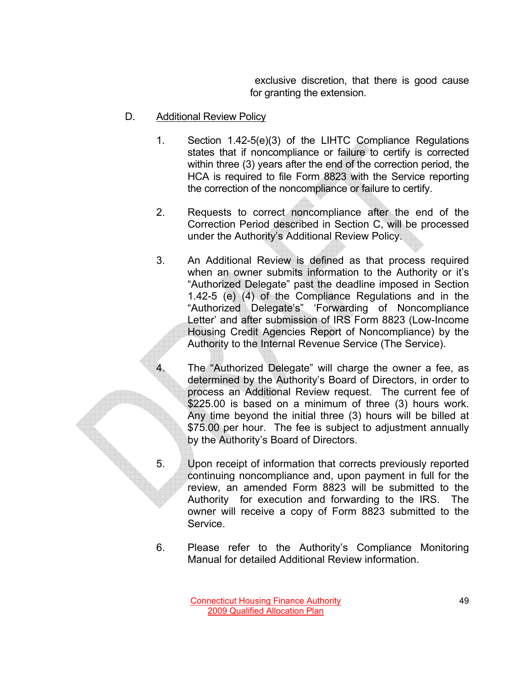exclusive discretion, that there is good cause for granting the extension.

- D. Additional Review Policy
	- 1. Section 1.42-5(e)(3) of the LIHTC Compliance Regulations states that if noncompliance or failure to certify is corrected within three (3) years after the end of the correction period, the HCA is required to file Form 8823 with the Service reporting the correction of the noncompliance or failure to certify.
	- 2. Requests to correct noncompliance after the end of the Correction Period described in Section C, will be processed under the Authority's Additional Review Policy.
	- 3. An Additional Review is defined as that process required when an owner submits information to the Authority or it's "Authorized Delegate" past the deadline imposed in Section 1.42-5 (e) (4) of the Compliance Regulations and in the "Authorized Delegate's" 'Forwarding of Noncompliance Letter' and after submission of IRS Form 8823 (Low-Income Housing Credit Agencies Report of Noncompliance) by the Authority to the Internal Revenue Service (The Service).
	- 4. The "Authorized Delegate" will charge the owner a fee, as determined by the Authority's Board of Directors, in order to process an Additional Review request. The current fee of \$225.00 is based on a minimum of three (3) hours work. Any time beyond the initial three (3) hours will be billed at \$75.00 per hour. The fee is subject to adjustment annually by the Authority's Board of Directors.
	- 5. Upon receipt of information that corrects previously reported continuing noncompliance and, upon payment in full for the review, an amended Form 8823 will be submitted to the Authority for execution and forwarding to the IRS. The owner will receive a copy of Form 8823 submitted to the Service.
	- 6. Please refer to the Authority's Compliance Monitoring Manual for detailed Additional Review information.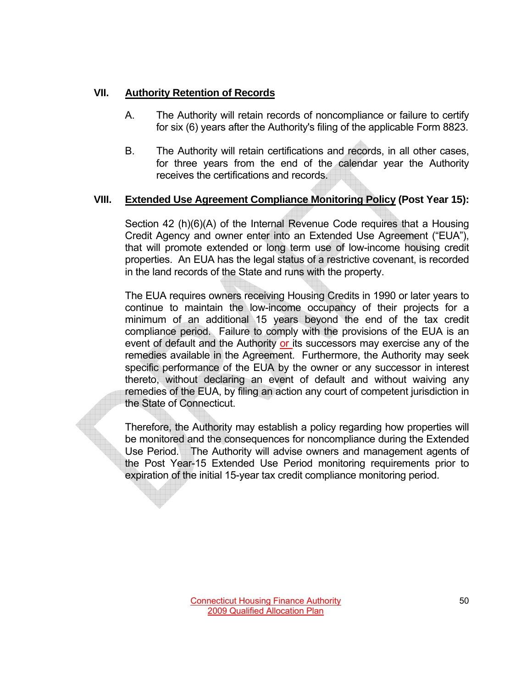### **VII. Authority Retention of Records**

- A. The Authority will retain records of noncompliance or failure to certify for six (6) years after the Authority's filing of the applicable Form 8823.
- B. The Authority will retain certifications and records, in all other cases, for three years from the end of the calendar year the Authority receives the certifications and records.

### **VIII. Extended Use Agreement Compliance Monitoring Policy (Post Year 15):**

Section 42 (h)(6)(A) of the Internal Revenue Code requires that a Housing Credit Agency and owner enter into an Extended Use Agreement ("EUA"), that will promote extended or long term use of low-income housing credit properties. An EUA has the legal status of a restrictive covenant, is recorded in the land records of the State and runs with the property.

The EUA requires owners receiving Housing Credits in 1990 or later years to continue to maintain the low-income occupancy of their projects for a minimum of an additional 15 years beyond the end of the tax credit compliance period. Failure to comply with the provisions of the EUA is an event of default and the Authority or its successors may exercise any of the remedies available in the Agreement. Furthermore, the Authority may seek specific performance of the EUA by the owner or any successor in interest thereto, without declaring an event of default and without waiving any remedies of the EUA, by filing an action any court of competent jurisdiction in the State of Connecticut.

Therefore, the Authority may establish a policy regarding how properties will be monitored and the consequences for noncompliance during the Extended Use Period. The Authority will advise owners and management agents of the Post Year-15 Extended Use Period monitoring requirements prior to expiration of the initial 15-year tax credit compliance monitoring period.